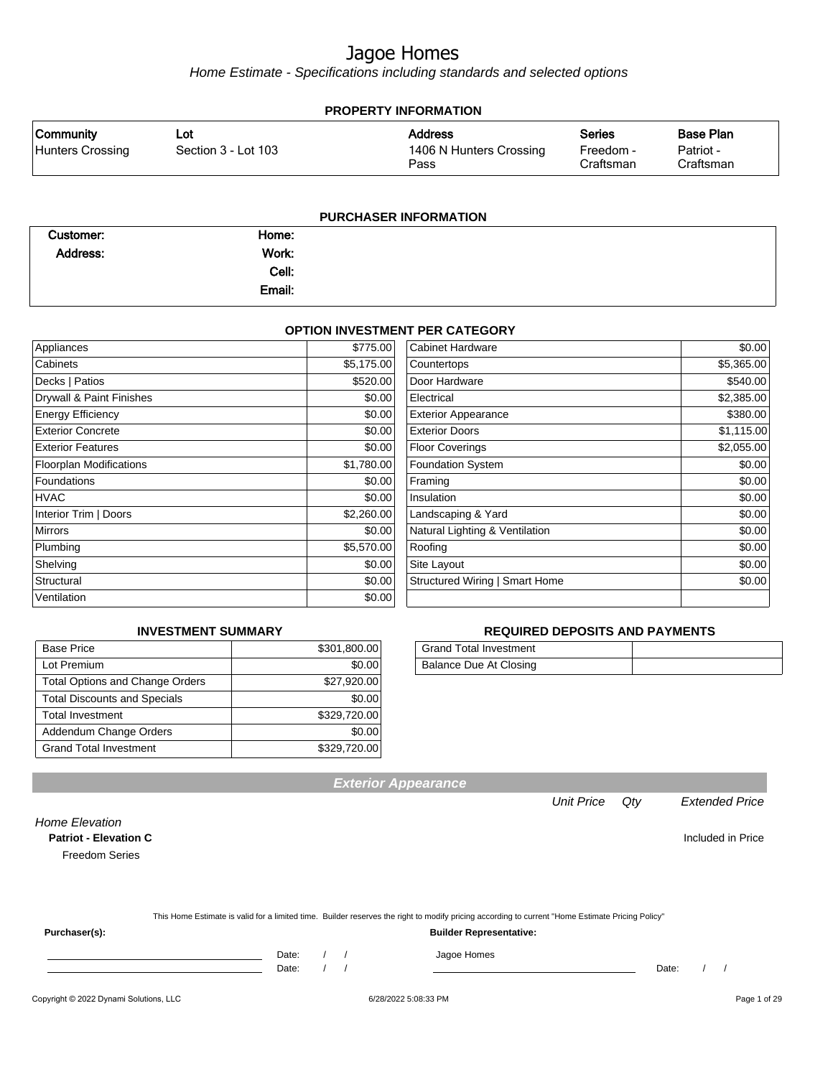Home Estimate - Specifications including standards and selected options

| <b>PROPERTY INFORMATION</b>          |                            |                                                   |                                         |                                            |  |
|--------------------------------------|----------------------------|---------------------------------------------------|-----------------------------------------|--------------------------------------------|--|
| <b>Community</b><br>Hunters Crossing | Lot<br>Section 3 - Lot 103 | <b>Address</b><br>1406 N Hunters Crossing<br>Pass | <b>Series</b><br>Freedom -<br>Craftsman | <b>Base Plan</b><br>Patriot -<br>Craftsman |  |
|                                      |                            | <b>PURCHASER INFORMATION</b>                      |                                         |                                            |  |
| Customer:                            | Home:                      |                                                   |                                         |                                            |  |

| nome:  |  |
|--------|--|
| Work:  |  |
| Cell:  |  |
| Email: |  |
|        |  |

#### **OPTION INVESTMENT PER CATEGORY**

| Appliances                     | \$775.00   | <b>Cabinet Hardware</b>        | \$0.00     |
|--------------------------------|------------|--------------------------------|------------|
| Cabinets                       | \$5,175.00 | Countertops                    | \$5,365.00 |
| Decks   Patios                 | \$520.00   | Door Hardware                  | \$540.00   |
| Drywall & Paint Finishes       | \$0.00     | Electrical                     | \$2,385.00 |
| <b>Energy Efficiency</b>       | \$0.00     | <b>Exterior Appearance</b>     | \$380.00   |
| <b>Exterior Concrete</b>       | \$0.00     | <b>Exterior Doors</b>          | \$1,115.00 |
| <b>Exterior Features</b>       | \$0.00     | Floor Coverings                | \$2,055.00 |
| <b>Floorplan Modifications</b> | \$1,780.00 | <b>Foundation System</b>       | \$0.00     |
| Foundations                    | \$0.00     | Framing                        | \$0.00     |
| <b>HVAC</b>                    | \$0.00     | Insulation                     | \$0.00     |
| Interior Trim   Doors          | \$2,260.00 | Landscaping & Yard             | \$0.00     |
| <b>Mirrors</b>                 | \$0.00     | Natural Lighting & Ventilation | \$0.00     |
| Plumbing                       | \$5,570.00 | Roofing                        | \$0.00     |
| Shelving                       | \$0.00     | Site Layout                    | \$0.00     |
| Structural                     | \$0.00     | Structured Wiring   Smart Home | \$0.00     |
| Ventilation                    | \$0.00     |                                |            |

#### **INVESTMENT SUMMARY**

| <b>Base Price</b>                      | \$301,800.00 |
|----------------------------------------|--------------|
| Lot Premium                            | \$0.00       |
| <b>Total Options and Change Orders</b> | \$27,920.00  |
| <b>Total Discounts and Specials</b>    | \$0.00       |
| <b>Total Investment</b>                | \$329,720.00 |
| Addendum Change Orders                 | \$0.00       |
| <b>Grand Total Investment</b>          | \$329,720.00 |

#### **REQUIRED DEPOSITS AND PAYMENTS**

| Grand Total Investment |  |
|------------------------|--|
| Balance Due At Closing |  |

**Patriot - Elevation C** Included in Price

Freedom Series

|  | This Home Estimate is valid for a limited time. Builder reserves the right to modify pricing according to current "Home Estimate Pricing Policy" |  |
|--|--------------------------------------------------------------------------------------------------------------------------------------------------|--|
|--|--------------------------------------------------------------------------------------------------------------------------------------------------|--|

**Exterior Appearance**

**Purchaser(s): Builder Representative:**

Home Elevation

Date: / / Jagoe Homes<br>Date: / / Jagoe Homes Date: / / Date: / /

Unit Price Qty Extended Price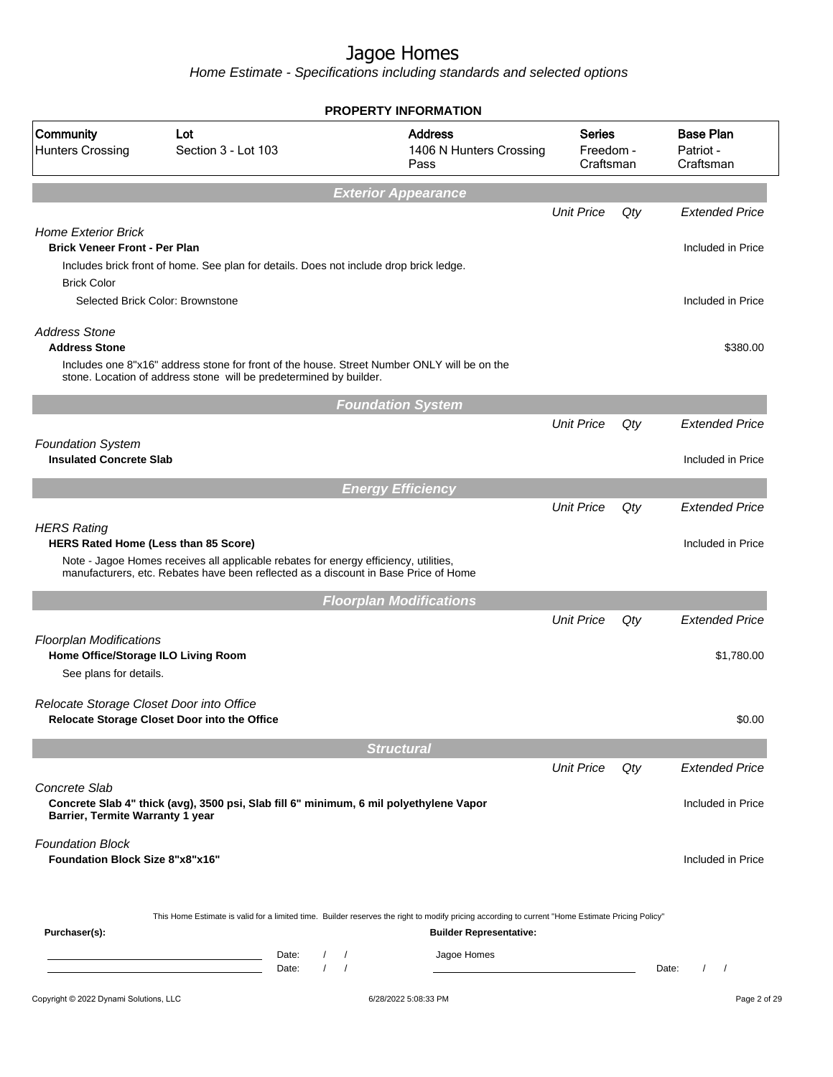|                                                                                                 |                                                                                                                                                                             | <b>PROPERTY INFORMATION</b>                                                                                                                                                        |                                         |     |                                            |
|-------------------------------------------------------------------------------------------------|-----------------------------------------------------------------------------------------------------------------------------------------------------------------------------|------------------------------------------------------------------------------------------------------------------------------------------------------------------------------------|-----------------------------------------|-----|--------------------------------------------|
| Community<br><b>Hunters Crossing</b>                                                            | Lot<br>Section 3 - Lot 103                                                                                                                                                  | <b>Address</b><br>1406 N Hunters Crossing<br>Pass                                                                                                                                  | <b>Series</b><br>Freedom -<br>Craftsman |     | <b>Base Plan</b><br>Patriot -<br>Craftsman |
|                                                                                                 |                                                                                                                                                                             | <b>Exterior Appearance</b>                                                                                                                                                         |                                         |     |                                            |
|                                                                                                 |                                                                                                                                                                             |                                                                                                                                                                                    | <b>Unit Price</b>                       | Qty | <b>Extended Price</b>                      |
| <b>Home Exterior Brick</b><br><b>Brick Veneer Front - Per Plan</b><br><b>Brick Color</b>        | Includes brick front of home. See plan for details. Does not include drop brick ledge.                                                                                      |                                                                                                                                                                                    |                                         |     | Included in Price                          |
|                                                                                                 | Selected Brick Color: Brownstone                                                                                                                                            |                                                                                                                                                                                    |                                         |     | Included in Price                          |
| <b>Address Stone</b><br><b>Address Stone</b>                                                    | Includes one 8"x16" address stone for front of the house. Street Number ONLY will be on the                                                                                 |                                                                                                                                                                                    |                                         |     | \$380.00                                   |
|                                                                                                 | stone. Location of address stone will be predetermined by builder.                                                                                                          |                                                                                                                                                                                    |                                         |     |                                            |
|                                                                                                 |                                                                                                                                                                             | <b>Foundation System</b>                                                                                                                                                           |                                         |     |                                            |
|                                                                                                 |                                                                                                                                                                             |                                                                                                                                                                                    | <b>Unit Price</b>                       | Qty | <b>Extended Price</b>                      |
| <b>Foundation System</b><br><b>Insulated Concrete Slab</b>                                      |                                                                                                                                                                             |                                                                                                                                                                                    |                                         |     | Included in Price                          |
|                                                                                                 |                                                                                                                                                                             | <b>Energy Efficiency</b>                                                                                                                                                           |                                         |     |                                            |
| <b>HERS Rating</b>                                                                              |                                                                                                                                                                             |                                                                                                                                                                                    | <b>Unit Price</b>                       | Qty | <b>Extended Price</b>                      |
| <b>HERS Rated Home (Less than 85 Score)</b>                                                     | Note - Jagoe Homes receives all applicable rebates for energy efficiency, utilities,<br>manufacturers, etc. Rebates have been reflected as a discount in Base Price of Home |                                                                                                                                                                                    |                                         |     | Included in Price                          |
|                                                                                                 |                                                                                                                                                                             | <b>Floorplan Modifications</b>                                                                                                                                                     |                                         |     |                                            |
|                                                                                                 |                                                                                                                                                                             |                                                                                                                                                                                    | <b>Unit Price</b>                       | Qty | <b>Extended Price</b>                      |
| <b>Floorplan Modifications</b><br>Home Office/Storage ILO Living Room<br>See plans for details. |                                                                                                                                                                             |                                                                                                                                                                                    |                                         |     | \$1,780.00                                 |
| Relocate Storage Closet Door into Office                                                        | Relocate Storage Closet Door into the Office                                                                                                                                |                                                                                                                                                                                    |                                         |     | \$0.00                                     |
|                                                                                                 |                                                                                                                                                                             | <b>Structural</b>                                                                                                                                                                  |                                         |     |                                            |
|                                                                                                 |                                                                                                                                                                             |                                                                                                                                                                                    | <b>Unit Price</b>                       | Qty | <b>Extended Price</b>                      |
| Concrete Slab<br>Barrier, Termite Warranty 1 year                                               | Concrete Slab 4" thick (avg), 3500 psi, Slab fill 6" minimum, 6 mil polyethylene Vapor                                                                                      |                                                                                                                                                                                    |                                         |     | Included in Price                          |
| <b>Foundation Block</b><br><b>Foundation Block Size 8"x8"x16"</b>                               |                                                                                                                                                                             |                                                                                                                                                                                    |                                         |     | Included in Price                          |
| Purchaser(s):                                                                                   |                                                                                                                                                                             | This Home Estimate is valid for a limited time. Builder reserves the right to modify pricing according to current "Home Estimate Pricing Policy"<br><b>Builder Representative:</b> |                                         |     |                                            |
|                                                                                                 | Date:<br>$\sqrt{2}$<br>the control of the control of the control of the control of the control of<br>$\prime$<br>Date:                                                      | Jagoe Homes<br>$\sqrt{ }$<br>$\prime$                                                                                                                                              |                                         |     | Date:<br>$\prime$<br>$\sqrt{2}$            |
| Copyright © 2022 Dynami Solutions, LLC                                                          |                                                                                                                                                                             | 6/28/2022 5:08:33 PM                                                                                                                                                               |                                         |     | Page 2 of 29                               |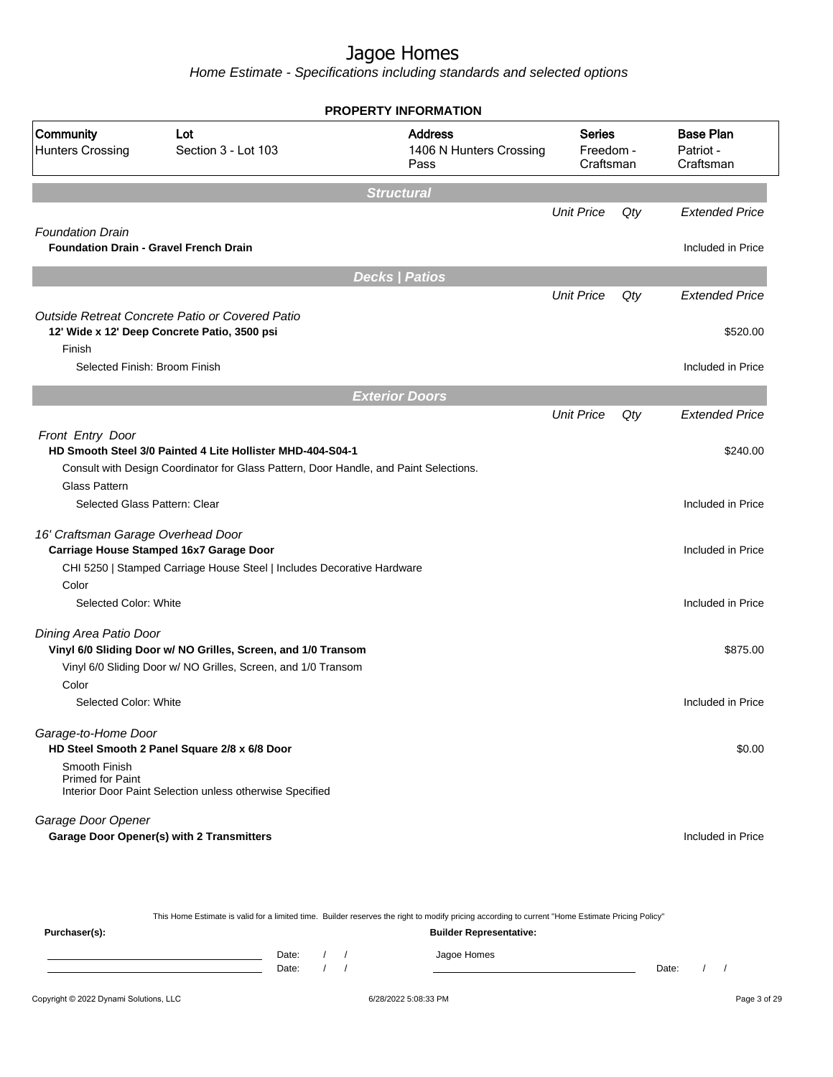Home Estimate - Specifications including standards and selected options

|                                               |                                                                                       | <b>PROPERTY INFORMATION</b>                                                           |                   |     |                                            |
|-----------------------------------------------|---------------------------------------------------------------------------------------|---------------------------------------------------------------------------------------|-------------------|-----|--------------------------------------------|
| Community<br><b>Hunters Crossing</b>          | Lot<br>Section 3 - Lot 103                                                            | <b>Address</b><br>Series<br>1406 N Hunters Crossing<br>Freedom -<br>Craftsman<br>Pass |                   |     | <b>Base Plan</b><br>Patriot -<br>Craftsman |
|                                               |                                                                                       | <b>Structural</b>                                                                     |                   |     |                                            |
|                                               |                                                                                       |                                                                                       | <b>Unit Price</b> | Qty | <b>Extended Price</b>                      |
| <b>Foundation Drain</b>                       |                                                                                       |                                                                                       |                   |     |                                            |
| <b>Foundation Drain - Gravel French Drain</b> |                                                                                       |                                                                                       |                   |     | Included in Price                          |
|                                               |                                                                                       | <b>Decks   Patios</b>                                                                 |                   |     |                                            |
|                                               |                                                                                       |                                                                                       | <b>Unit Price</b> | Qty | <b>Extended Price</b>                      |
|                                               | Outside Retreat Concrete Patio or Covered Patio                                       |                                                                                       |                   |     |                                            |
|                                               | 12' Wide x 12' Deep Concrete Patio, 3500 psi                                          |                                                                                       |                   |     | \$520.00                                   |
| Finish<br>Selected Finish: Broom Finish       |                                                                                       |                                                                                       |                   |     | Included in Price                          |
|                                               |                                                                                       |                                                                                       |                   |     |                                            |
|                                               |                                                                                       | <b>Exterior Doors</b>                                                                 |                   |     |                                            |
|                                               |                                                                                       |                                                                                       | <b>Unit Price</b> | Qty | <b>Extended Price</b>                      |
| Front Entry Door                              |                                                                                       |                                                                                       |                   |     |                                            |
|                                               | HD Smooth Steel 3/0 Painted 4 Lite Hollister MHD-404-S04-1                            |                                                                                       |                   |     | \$240.00                                   |
|                                               | Consult with Design Coordinator for Glass Pattern, Door Handle, and Paint Selections. |                                                                                       |                   |     |                                            |
| <b>Glass Pattern</b>                          |                                                                                       |                                                                                       |                   |     |                                            |
| Selected Glass Pattern: Clear                 |                                                                                       |                                                                                       |                   |     | Included in Price                          |
| 16' Craftsman Garage Overhead Door            |                                                                                       |                                                                                       |                   |     |                                            |
|                                               | Carriage House Stamped 16x7 Garage Door                                               |                                                                                       |                   |     | Included in Price                          |
|                                               | CHI 5250   Stamped Carriage House Steel   Includes Decorative Hardware                |                                                                                       |                   |     |                                            |
| Color                                         |                                                                                       |                                                                                       |                   |     |                                            |
| Selected Color: White                         |                                                                                       |                                                                                       |                   |     | Included in Price                          |
| Dining Area Patio Door                        |                                                                                       |                                                                                       |                   |     |                                            |
|                                               | Vinyl 6/0 Sliding Door w/ NO Grilles, Screen, and 1/0 Transom                         |                                                                                       |                   |     | \$875.00                                   |
|                                               | Vinyl 6/0 Sliding Door w/ NO Grilles, Screen, and 1/0 Transom                         |                                                                                       |                   |     |                                            |
| Color                                         |                                                                                       |                                                                                       |                   |     |                                            |
| Selected Color: White                         |                                                                                       |                                                                                       |                   |     | Included in Price                          |
| Garage-to-Home Door                           | HD Steel Smooth 2 Panel Square 2/8 x 6/8 Door                                         |                                                                                       |                   |     | \$0.00                                     |
| Smooth Finish<br><b>Primed for Paint</b>      | Interior Door Paint Selection unless otherwise Specified                              |                                                                                       |                   |     |                                            |
| Garage Door Opener                            |                                                                                       |                                                                                       |                   |     |                                            |
|                                               | <b>Garage Door Opener(s) with 2 Transmitters</b>                                      |                                                                                       |                   |     | Included in Price                          |

This Home Estimate is valid for a limited time. Builder reserves the right to modify pricing according to current "Home Estimate Pricing Policy" **Purchaser(s): Builder Representative:** Date: / / Jagoe Homes<br>Date: / / Jagoe Homes Date: / / Date: / /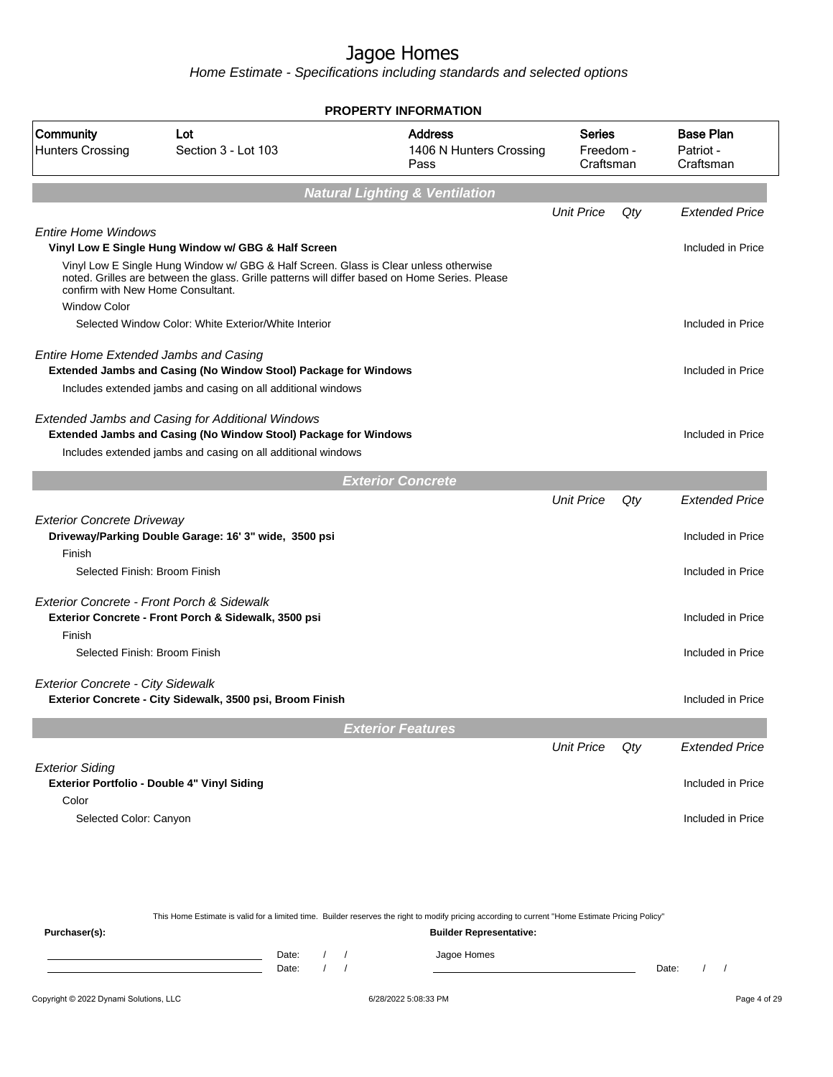|                                                          |                                                                                                                                                                                            | <b>PROPERTY INFORMATION</b>                       |                                         |     |                                            |
|----------------------------------------------------------|--------------------------------------------------------------------------------------------------------------------------------------------------------------------------------------------|---------------------------------------------------|-----------------------------------------|-----|--------------------------------------------|
| Community<br><b>Hunters Crossing</b>                     | Lot<br>Section 3 - Lot 103                                                                                                                                                                 | <b>Address</b><br>1406 N Hunters Crossing<br>Pass | <b>Series</b><br>Freedom -<br>Craftsman |     | <b>Base Plan</b><br>Patriot -<br>Craftsman |
|                                                          |                                                                                                                                                                                            | <b>Natural Lighting &amp; Ventilation</b>         |                                         |     |                                            |
|                                                          |                                                                                                                                                                                            |                                                   | <b>Unit Price</b>                       | Qty | <b>Extended Price</b>                      |
| <b>Entire Home Windows</b>                               | Vinyl Low E Single Hung Window w/ GBG & Half Screen                                                                                                                                        |                                                   |                                         |     | Included in Price                          |
| confirm with New Home Consultant.<br><b>Window Color</b> | Vinyl Low E Single Hung Window w/ GBG & Half Screen. Glass is Clear unless otherwise<br>noted. Grilles are between the glass. Grille patterns will differ based on Home Series. Please     |                                                   |                                         |     |                                            |
|                                                          | Selected Window Color: White Exterior/White Interior                                                                                                                                       |                                                   |                                         |     | Included in Price                          |
| Entire Home Extended Jambs and Casing                    | <b>Extended Jambs and Casing (No Window Stool) Package for Windows</b><br>Includes extended jambs and casing on all additional windows                                                     |                                                   |                                         |     | Included in Price                          |
|                                                          | Extended Jambs and Casing for Additional Windows<br><b>Extended Jambs and Casing (No Window Stool) Package for Windows</b><br>Includes extended jambs and casing on all additional windows |                                                   |                                         |     | Included in Price                          |
|                                                          |                                                                                                                                                                                            | <b>Exterior Concrete</b>                          |                                         |     |                                            |
|                                                          |                                                                                                                                                                                            |                                                   | <b>Unit Price</b>                       | Qty | <b>Extended Price</b>                      |
| <b>Exterior Concrete Driveway</b><br>Finish              | Driveway/Parking Double Garage: 16' 3" wide, 3500 psi                                                                                                                                      |                                                   |                                         |     | Included in Price                          |
| Selected Finish: Broom Finish                            |                                                                                                                                                                                            |                                                   |                                         |     | Included in Price                          |
|                                                          | Exterior Concrete - Front Porch & Sidewalk                                                                                                                                                 |                                                   |                                         |     | Included in Price                          |
| Finish                                                   | Exterior Concrete - Front Porch & Sidewalk, 3500 psi                                                                                                                                       |                                                   |                                         |     |                                            |
| Selected Finish: Broom Finish                            |                                                                                                                                                                                            |                                                   |                                         |     | Included in Price                          |
| <b>Exterior Concrete - City Sidewalk</b>                 | Exterior Concrete - City Sidewalk, 3500 psi, Broom Finish                                                                                                                                  |                                                   |                                         |     | Included in Price                          |
|                                                          |                                                                                                                                                                                            | <b>Exterior Features</b>                          |                                         |     |                                            |
|                                                          |                                                                                                                                                                                            |                                                   | <b>Unit Price</b>                       | Qty | <b>Extended Price</b>                      |
| <b>Exterior Siding</b>                                   | Exterior Portfolio - Double 4" Vinyl Siding                                                                                                                                                |                                                   |                                         |     | Included in Price                          |
| Color<br>Selected Color: Canyon                          |                                                                                                                                                                                            |                                                   |                                         |     | Included in Price                          |
|                                                          |                                                                                                                                                                                            |                                                   |                                         |     |                                            |
|                                                          |                                                                                                                                                                                            |                                                   |                                         |     |                                            |

| This Home Estimate is valid for a limited time. Builder reserves the right to modify pricing according to current "Home Estimate Pricing Policy" |  |       |  |  |                                |       |  |
|--------------------------------------------------------------------------------------------------------------------------------------------------|--|-------|--|--|--------------------------------|-------|--|
| Purchaser(s):                                                                                                                                    |  |       |  |  | <b>Builder Representative:</b> |       |  |
|                                                                                                                                                  |  | Date: |  |  | Jagoe Homes                    |       |  |
|                                                                                                                                                  |  | Date: |  |  |                                | Date: |  |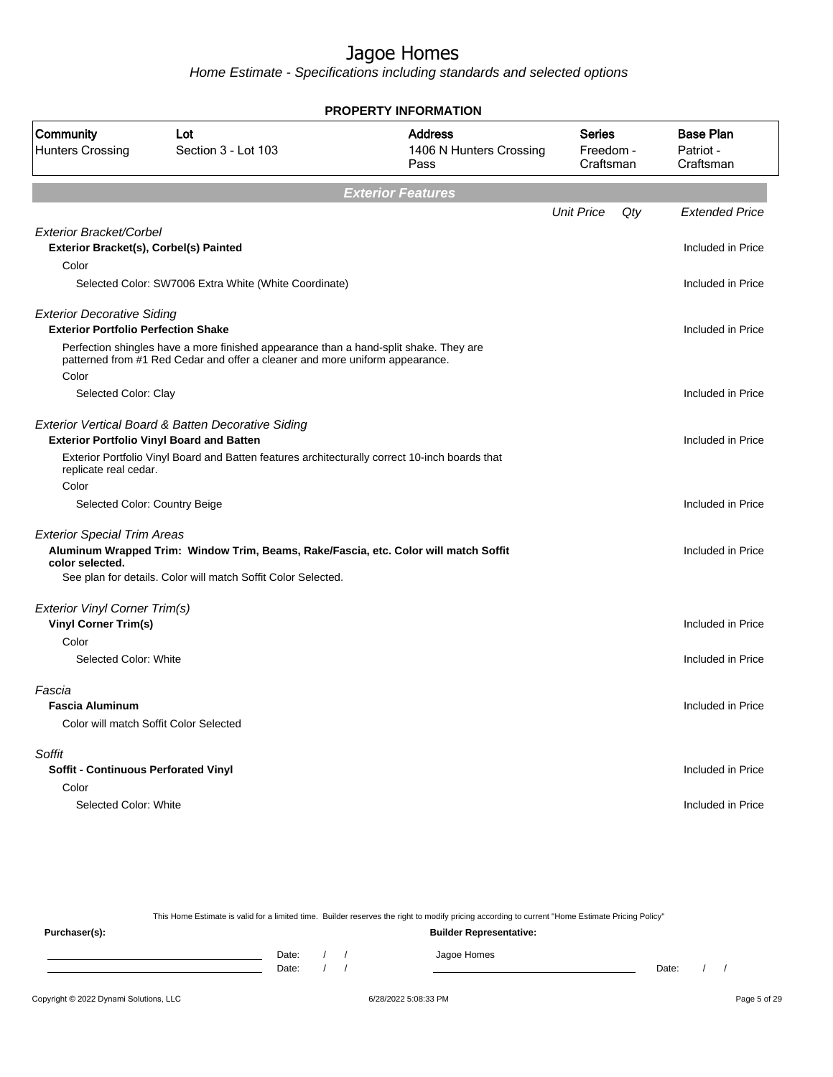Home Estimate - Specifications including standards and selected options

|                                                                          |                                                                                                | <b>PROPERTY INFORMATION</b>                       |                                         |     |                                            |
|--------------------------------------------------------------------------|------------------------------------------------------------------------------------------------|---------------------------------------------------|-----------------------------------------|-----|--------------------------------------------|
| Community<br><b>Hunters Crossing</b>                                     | Lot<br>Section 3 - Lot 103                                                                     | <b>Address</b><br>1406 N Hunters Crossing<br>Pass | <b>Series</b><br>Freedom -<br>Craftsman |     | <b>Base Plan</b><br>Patriot -<br>Craftsman |
|                                                                          |                                                                                                | <b>Exterior Features</b>                          |                                         |     |                                            |
|                                                                          |                                                                                                |                                                   | <b>Unit Price</b>                       | Qty | <b>Extended Price</b>                      |
| <b>Exterior Bracket/Corbel</b><br>Exterior Bracket(s), Corbel(s) Painted |                                                                                                |                                                   |                                         |     | Included in Price                          |
| Color                                                                    |                                                                                                |                                                   |                                         |     |                                            |
|                                                                          | Selected Color: SW7006 Extra White (White Coordinate)                                          |                                                   |                                         |     | Included in Price                          |
| <b>Exterior Decorative Siding</b>                                        |                                                                                                |                                                   |                                         |     |                                            |
| <b>Exterior Portfolio Perfection Shake</b>                               | Perfection shingles have a more finished appearance than a hand-split shake. They are          |                                                   |                                         |     | Included in Price                          |
| Color                                                                    | patterned from #1 Red Cedar and offer a cleaner and more uniform appearance.                   |                                                   |                                         |     |                                            |
| Selected Color: Clay                                                     |                                                                                                |                                                   |                                         |     | Included in Price                          |
|                                                                          |                                                                                                |                                                   |                                         |     |                                            |
|                                                                          | Exterior Vertical Board & Batten Decorative Siding                                             |                                                   |                                         |     |                                            |
|                                                                          | <b>Exterior Portfolio Vinyl Board and Batten</b>                                               |                                                   |                                         |     | Included in Price                          |
| replicate real cedar.                                                    | Exterior Portfolio Vinyl Board and Batten features architecturally correct 10-inch boards that |                                                   |                                         |     |                                            |
| Color                                                                    |                                                                                                |                                                   |                                         |     |                                            |
| Selected Color: Country Beige                                            |                                                                                                |                                                   |                                         |     | Included in Price                          |
| <b>Exterior Special Trim Areas</b>                                       |                                                                                                |                                                   |                                         |     |                                            |
| color selected.                                                          | Aluminum Wrapped Trim: Window Trim, Beams, Rake/Fascia, etc. Color will match Soffit           |                                                   |                                         |     | Included in Price                          |
|                                                                          | See plan for details. Color will match Soffit Color Selected.                                  |                                                   |                                         |     |                                            |
| <b>Exterior Vinyl Corner Trim(s)</b>                                     |                                                                                                |                                                   |                                         |     |                                            |
| <b>Vinyl Corner Trim(s)</b>                                              |                                                                                                |                                                   |                                         |     | Included in Price                          |
| Color                                                                    |                                                                                                |                                                   |                                         |     |                                            |
| Selected Color: White                                                    |                                                                                                |                                                   |                                         |     | Included in Price                          |
| Fascia                                                                   |                                                                                                |                                                   |                                         |     |                                            |
| <b>Fascia Aluminum</b>                                                   |                                                                                                |                                                   |                                         |     | Included in Price                          |
| Color will match Soffit Color Selected                                   |                                                                                                |                                                   |                                         |     |                                            |
| Soffit                                                                   |                                                                                                |                                                   |                                         |     |                                            |
| <b>Soffit - Continuous Perforated Vinyl</b>                              |                                                                                                |                                                   |                                         |     | Included in Price                          |
| Color                                                                    |                                                                                                |                                                   |                                         |     |                                            |
| Selected Color: White                                                    |                                                                                                |                                                   |                                         |     | Included in Price                          |
|                                                                          |                                                                                                |                                                   |                                         |     |                                            |

This Home Estimate is valid for a limited time. Builder reserves the right to modify pricing according to current "Home Estimate Pricing Policy" **Purchaser(s): Builder Representative:** Date: / / Jagoe Homes<br>Date: / / Jagoe Homes Date: / / **Date: / / 2006** Date: / / / Date: / / /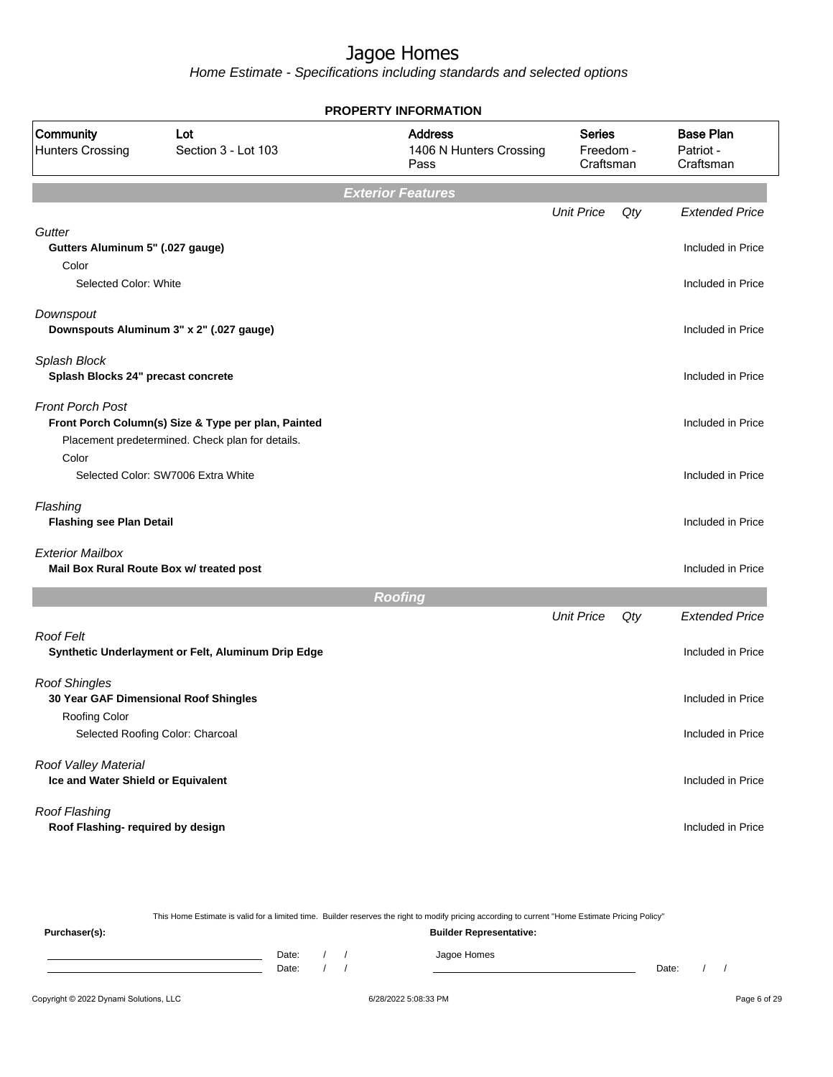Home Estimate - Specifications including standards and selected options

|                                                                                |                                                                                                         | <b>PROPERTY INFORMATION</b>                       |                                         |     |                                            |
|--------------------------------------------------------------------------------|---------------------------------------------------------------------------------------------------------|---------------------------------------------------|-----------------------------------------|-----|--------------------------------------------|
| Community<br><b>Hunters Crossing</b>                                           | Lot<br>Section 3 - Lot 103                                                                              | <b>Address</b><br>1406 N Hunters Crossing<br>Pass | <b>Series</b><br>Freedom -<br>Craftsman |     | <b>Base Plan</b><br>Patriot -<br>Craftsman |
|                                                                                |                                                                                                         | <b>Exterior Features</b>                          |                                         |     |                                            |
|                                                                                |                                                                                                         |                                                   | <b>Unit Price</b>                       | Qty | <b>Extended Price</b>                      |
| Gutter<br>Gutters Aluminum 5" (.027 gauge)<br>Color                            |                                                                                                         |                                                   |                                         |     | Included in Price                          |
| Selected Color: White                                                          |                                                                                                         |                                                   |                                         |     | Included in Price                          |
| Downspout                                                                      | Downspouts Aluminum 3" x 2" (.027 gauge)                                                                |                                                   |                                         |     | Included in Price                          |
| Splash Block<br>Splash Blocks 24" precast concrete                             |                                                                                                         |                                                   |                                         |     | Included in Price                          |
| <b>Front Porch Post</b>                                                        | Front Porch Column(s) Size & Type per plan, Painted<br>Placement predetermined. Check plan for details. |                                                   |                                         |     | Included in Price                          |
| Color                                                                          | Selected Color: SW7006 Extra White                                                                      |                                                   |                                         |     | Included in Price                          |
| Flashing<br><b>Flashing see Plan Detail</b>                                    |                                                                                                         |                                                   |                                         |     | Included in Price                          |
| <b>Exterior Mailbox</b>                                                        | Mail Box Rural Route Box w/ treated post                                                                |                                                   |                                         |     | Included in Price                          |
|                                                                                |                                                                                                         | <b>Roofing</b>                                    |                                         |     |                                            |
|                                                                                |                                                                                                         |                                                   | <b>Unit Price</b>                       | Qty | <b>Extended Price</b>                      |
| Roof Felt                                                                      | Synthetic Underlayment or Felt, Aluminum Drip Edge                                                      |                                                   |                                         |     | Included in Price                          |
| <b>Roof Shingles</b><br>30 Year GAF Dimensional Roof Shingles<br>Roofing Color |                                                                                                         |                                                   |                                         |     | Included in Price                          |
|                                                                                | Selected Roofing Color: Charcoal                                                                        |                                                   |                                         |     | Included in Price                          |
| Roof Valley Material<br>Ice and Water Shield or Equivalent                     |                                                                                                         |                                                   |                                         |     | Included in Price                          |
| Roof Flashing<br>Roof Flashing- required by design                             |                                                                                                         |                                                   |                                         |     | Included in Price                          |

This Home Estimate is valid for a limited time. Builder reserves the right to modify pricing according to current "Home Estimate Pricing Policy"

**Purchaser(s): Builder Representative:** Date: / / Jagoe Homes<br>Date: / / Jagoe Homes Date: / / **Date: / / 2006** Date: / / / Date: / / /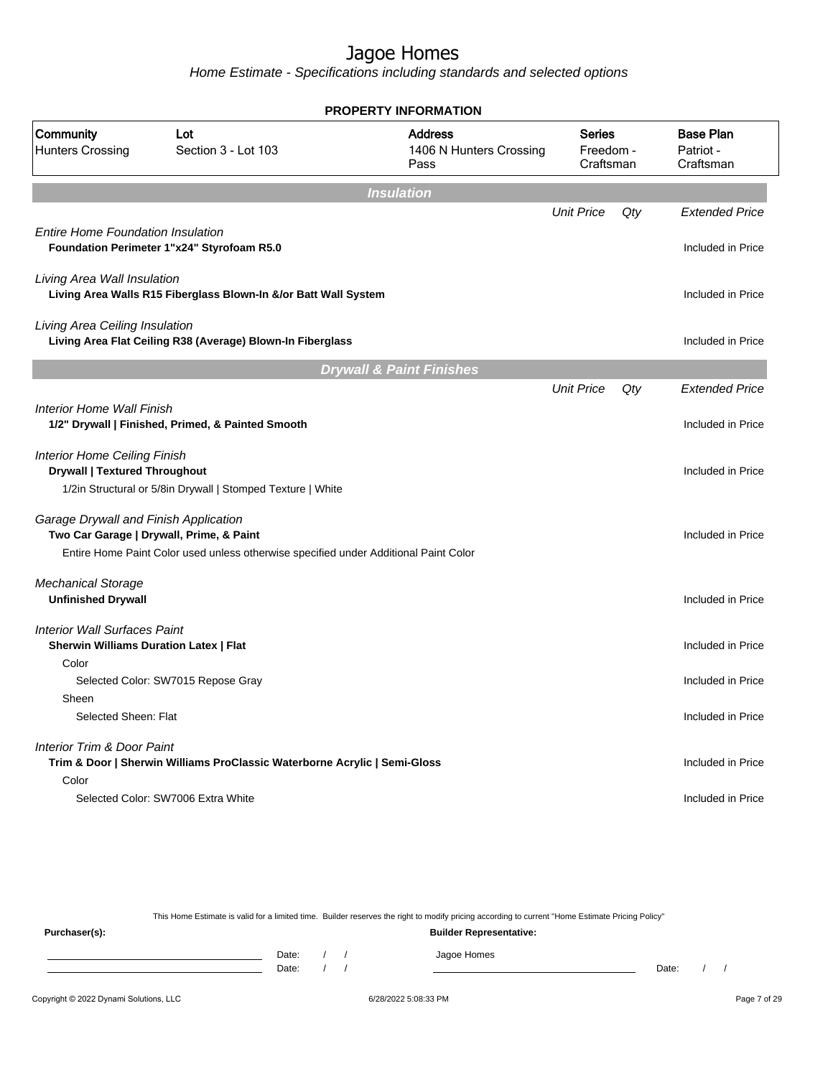Home Estimate - Specifications including standards and selected options

|                                                                                               |                                                                                      | <b>PROPERTY INFORMATION</b>                       |                                         |     |                                            |
|-----------------------------------------------------------------------------------------------|--------------------------------------------------------------------------------------|---------------------------------------------------|-----------------------------------------|-----|--------------------------------------------|
| Community<br><b>Hunters Crossing</b>                                                          | Lot<br>Section 3 - Lot 103                                                           | <b>Address</b><br>1406 N Hunters Crossing<br>Pass | <b>Series</b><br>Freedom -<br>Craftsman |     | <b>Base Plan</b><br>Patriot -<br>Craftsman |
|                                                                                               |                                                                                      | <b>Insulation</b>                                 |                                         |     |                                            |
| <b>Entire Home Foundation Insulation</b>                                                      |                                                                                      |                                                   | <b>Unit Price</b>                       | Qty | <b>Extended Price</b>                      |
|                                                                                               | Foundation Perimeter 1"x24" Styrofoam R5.0                                           |                                                   |                                         |     | Included in Price                          |
| Living Area Wall Insulation                                                                   | Living Area Walls R15 Fiberglass Blown-In &/or Batt Wall System                      |                                                   |                                         |     | Included in Price                          |
| Living Area Ceiling Insulation                                                                | Living Area Flat Ceiling R38 (Average) Blown-In Fiberglass                           |                                                   |                                         |     | Included in Price                          |
|                                                                                               |                                                                                      | <b>Drywall &amp; Paint Finishes</b>               |                                         |     |                                            |
|                                                                                               |                                                                                      |                                                   | <b>Unit Price</b>                       | Qty | <b>Extended Price</b>                      |
| <b>Interior Home Wall Finish</b>                                                              | 1/2" Drywall   Finished, Primed, & Painted Smooth                                    |                                                   |                                         |     | Included in Price                          |
| <b>Interior Home Ceiling Finish</b>                                                           |                                                                                      |                                                   |                                         |     |                                            |
| <b>Drywall   Textured Throughout</b>                                                          | 1/2in Structural or 5/8in Drywall   Stomped Texture   White                          |                                                   |                                         |     | Included in Price                          |
| Garage Drywall and Finish Application<br>Two Car Garage   Drywall, Prime, & Paint             |                                                                                      |                                                   |                                         |     | Included in Price                          |
|                                                                                               | Entire Home Paint Color used unless otherwise specified under Additional Paint Color |                                                   |                                         |     |                                            |
| <b>Mechanical Storage</b><br><b>Unfinished Drywall</b>                                        |                                                                                      |                                                   |                                         |     | Included in Price                          |
|                                                                                               |                                                                                      |                                                   |                                         |     |                                            |
| <b>Interior Wall Surfaces Paint</b><br><b>Sherwin Williams Duration Latex   Flat</b><br>Color |                                                                                      |                                                   |                                         |     | Included in Price                          |
|                                                                                               | Selected Color: SW7015 Repose Gray                                                   |                                                   |                                         |     | Included in Price                          |
| Sheen                                                                                         |                                                                                      |                                                   |                                         |     |                                            |
| Selected Sheen: Flat                                                                          |                                                                                      |                                                   |                                         |     | Included in Price                          |
| Interior Trim & Door Paint                                                                    | Trim & Door   Sherwin Williams ProClassic Waterborne Acrylic   Semi-Gloss            |                                                   |                                         |     | Included in Price                          |
| Color                                                                                         | Selected Color: SW7006 Extra White                                                   |                                                   |                                         |     | Included in Price                          |

This Home Estimate is valid for a limited time. Builder reserves the right to modify pricing according to current "Home Estimate Pricing Policy"

**Purchaser(s): Builder Representative:** Date: / / Jagoe Homes<br>Date: / / Jagoe Homes Date: / / **Date: / / 2006** Date: / / / Date: / / /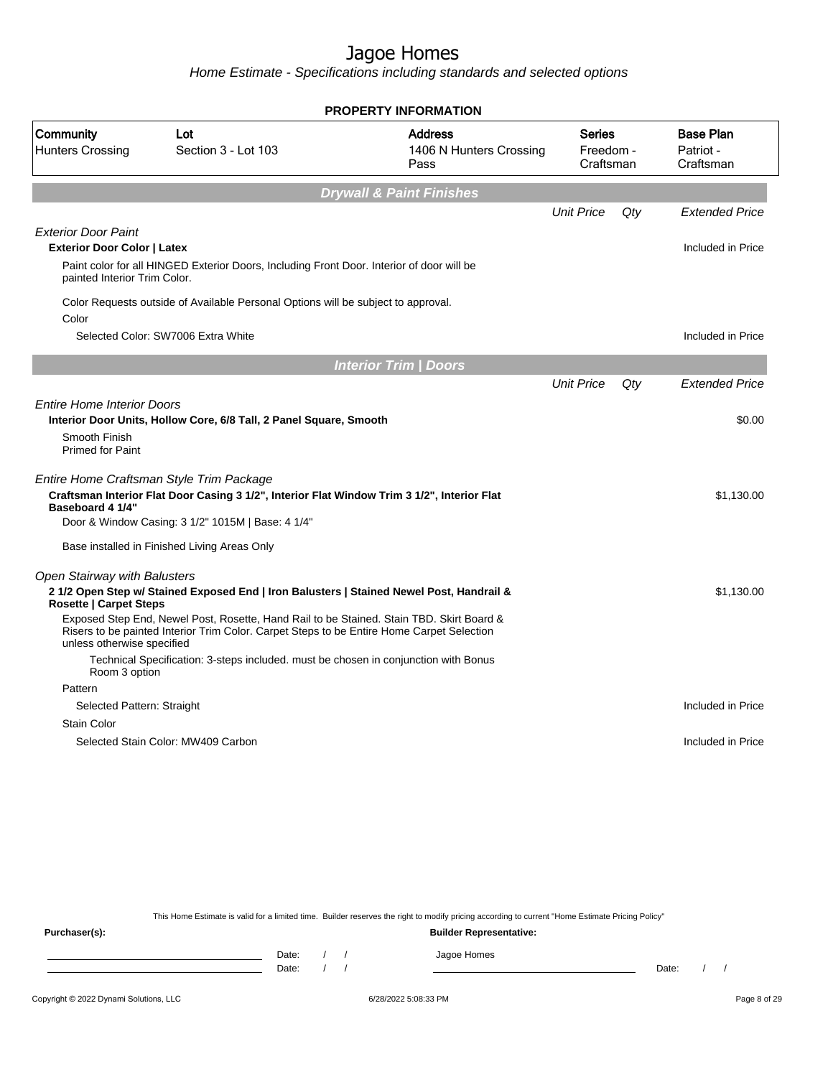Home Estimate - Specifications including standards and selected options

|                                                                        |                                                                                                                                                                                       | <b>PROPERTY INFORMATION</b>                       |                                         |     |                                            |
|------------------------------------------------------------------------|---------------------------------------------------------------------------------------------------------------------------------------------------------------------------------------|---------------------------------------------------|-----------------------------------------|-----|--------------------------------------------|
| Community<br><b>Hunters Crossing</b>                                   | Lot<br>Section 3 - Lot 103                                                                                                                                                            | <b>Address</b><br>1406 N Hunters Crossing<br>Pass | <b>Series</b><br>Freedom -<br>Craftsman |     | <b>Base Plan</b><br>Patriot -<br>Craftsman |
|                                                                        |                                                                                                                                                                                       | <b>Drywall &amp; Paint Finishes</b>               |                                         |     |                                            |
|                                                                        |                                                                                                                                                                                       |                                                   | <b>Unit Price</b>                       | Qty | <b>Extended Price</b>                      |
| <b>Exterior Door Paint</b><br><b>Exterior Door Color   Latex</b>       |                                                                                                                                                                                       |                                                   |                                         |     | Included in Price                          |
| painted Interior Trim Color.                                           | Paint color for all HINGED Exterior Doors, Including Front Door. Interior of door will be                                                                                             |                                                   |                                         |     |                                            |
| Color                                                                  | Color Requests outside of Available Personal Options will be subject to approval.                                                                                                     |                                                   |                                         |     |                                            |
|                                                                        | Selected Color: SW7006 Extra White                                                                                                                                                    |                                                   |                                         |     | Included in Price                          |
|                                                                        |                                                                                                                                                                                       | <b>Interior Trim / Doors</b>                      |                                         |     |                                            |
|                                                                        |                                                                                                                                                                                       |                                                   | <b>Unit Price</b>                       | Qtv | <b>Extended Price</b>                      |
| <b>Entire Home Interior Doors</b><br>Smooth Finish<br>Primed for Paint | Interior Door Units, Hollow Core, 6/8 Tall, 2 Panel Square, Smooth                                                                                                                    |                                                   |                                         |     | \$0.00                                     |
| Baseboard 4 1/4"                                                       | Entire Home Craftsman Style Trim Package<br>Craftsman Interior Flat Door Casing 3 1/2", Interior Flat Window Trim 3 1/2", Interior Flat                                               |                                                   |                                         |     | \$1,130.00                                 |
|                                                                        | Door & Window Casing: 3 1/2" 1015M   Base: 4 1/4"                                                                                                                                     |                                                   |                                         |     |                                            |
|                                                                        | Base installed in Finished Living Areas Only                                                                                                                                          |                                                   |                                         |     |                                            |
| Open Stairway with Balusters                                           |                                                                                                                                                                                       |                                                   |                                         |     |                                            |
| <b>Rosette   Carpet Steps</b>                                          | 21/2 Open Step w/ Stained Exposed End   Iron Balusters   Stained Newel Post, Handrail &                                                                                               |                                                   |                                         |     | \$1,130.00                                 |
| unless otherwise specified                                             | Exposed Step End, Newel Post, Rosette, Hand Rail to be Stained. Stain TBD. Skirt Board &<br>Risers to be painted Interior Trim Color. Carpet Steps to be Entire Home Carpet Selection |                                                   |                                         |     |                                            |
| Room 3 option                                                          | Technical Specification: 3-steps included. must be chosen in conjunction with Bonus                                                                                                   |                                                   |                                         |     |                                            |
| Pattern                                                                |                                                                                                                                                                                       |                                                   |                                         |     |                                            |
| Selected Pattern: Straight                                             |                                                                                                                                                                                       |                                                   |                                         |     | Included in Price                          |
| <b>Stain Color</b>                                                     |                                                                                                                                                                                       |                                                   |                                         |     |                                            |
|                                                                        | Selected Stain Color: MW409 Carbon                                                                                                                                                    |                                                   |                                         |     | Included in Price                          |
|                                                                        |                                                                                                                                                                                       |                                                   |                                         |     |                                            |

This Home Estimate is valid for a limited time. Builder reserves the right to modify pricing according to current "Home Estimate Pricing Policy"

**Purchaser(s): Builder Representative:** Date: / / Jagoe Homes<br>Date: / / Jagoe Homes Date: / / Date: / /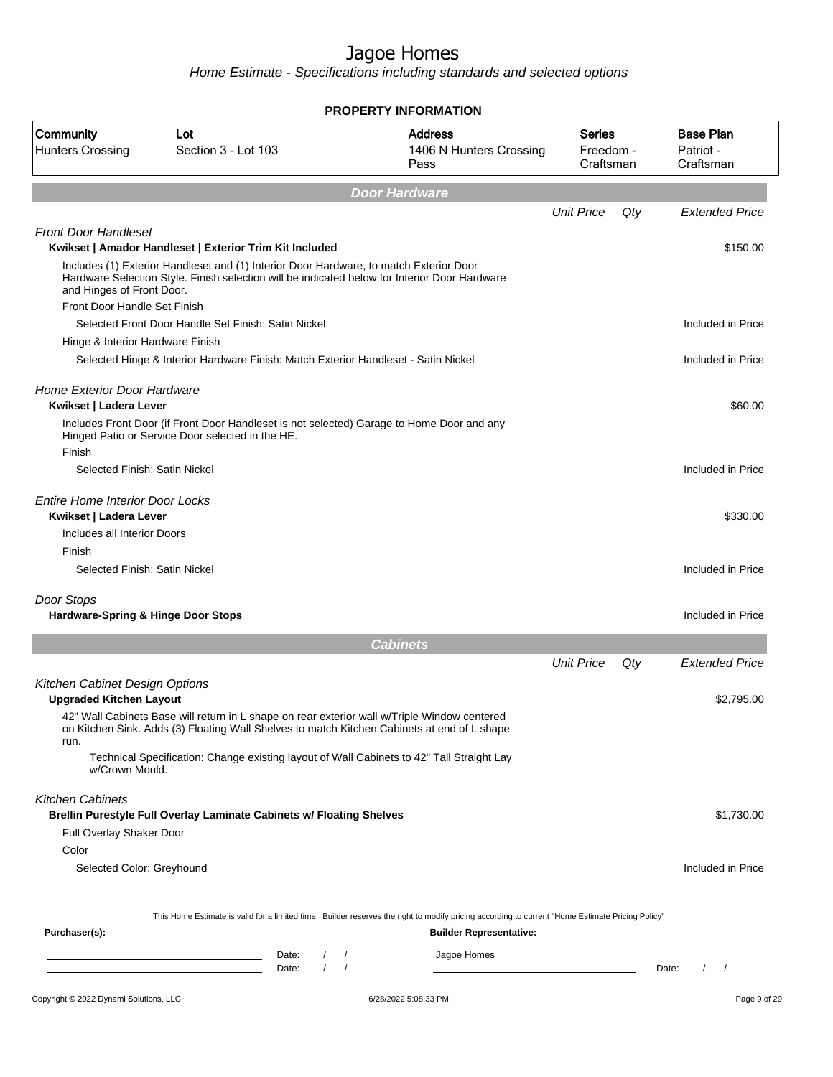|                                                                  |                                                                                                                                                                                             | <b>PROPERTY INFORMATION</b>                                                                                                                      |                                  |     |                                                 |
|------------------------------------------------------------------|---------------------------------------------------------------------------------------------------------------------------------------------------------------------------------------------|--------------------------------------------------------------------------------------------------------------------------------------------------|----------------------------------|-----|-------------------------------------------------|
| Community<br><b>Hunters Crossing</b>                             | Lot<br>Section 3 - Lot 103                                                                                                                                                                  | <b>Address</b><br>1406 N Hunters Crossing<br>Pass                                                                                                | Series<br>Freedom -<br>Craftsman |     | <b>Base Plan</b><br>Patriot -<br>Craftsman      |
|                                                                  |                                                                                                                                                                                             | <b>Door Hardware</b>                                                                                                                             |                                  |     |                                                 |
|                                                                  |                                                                                                                                                                                             |                                                                                                                                                  | <b>Unit Price</b>                | Qty | <b>Extended Price</b>                           |
| <b>Front Door Handleset</b>                                      | Kwikset   Amador Handleset   Exterior Trim Kit Included                                                                                                                                     |                                                                                                                                                  |                                  |     | \$150.00                                        |
| and Hinges of Front Door.                                        | Includes (1) Exterior Handleset and (1) Interior Door Hardware, to match Exterior Door<br>Hardware Selection Style. Finish selection will be indicated below for Interior Door Hardware     |                                                                                                                                                  |                                  |     |                                                 |
| Front Door Handle Set Finish                                     |                                                                                                                                                                                             |                                                                                                                                                  |                                  |     |                                                 |
|                                                                  | Selected Front Door Handle Set Finish: Satin Nickel                                                                                                                                         |                                                                                                                                                  |                                  |     | Included in Price                               |
| Hinge & Interior Hardware Finish                                 |                                                                                                                                                                                             |                                                                                                                                                  |                                  |     |                                                 |
|                                                                  | Selected Hinge & Interior Hardware Finish: Match Exterior Handleset - Satin Nickel                                                                                                          |                                                                                                                                                  |                                  |     | Included in Price                               |
| <b>Home Exterior Door Hardware</b><br>Kwikset   Ladera Lever     |                                                                                                                                                                                             |                                                                                                                                                  |                                  |     | \$60.00                                         |
| Finish                                                           | Includes Front Door (if Front Door Handleset is not selected) Garage to Home Door and any<br>Hinged Patio or Service Door selected in the HE.                                               |                                                                                                                                                  |                                  |     |                                                 |
| Selected Finish: Satin Nickel                                    |                                                                                                                                                                                             |                                                                                                                                                  |                                  |     | Included in Price                               |
| <b>Entire Home Interior Door Locks</b><br>Kwikset   Ladera Lever |                                                                                                                                                                                             |                                                                                                                                                  |                                  |     | \$330.00                                        |
| Includes all Interior Doors                                      |                                                                                                                                                                                             |                                                                                                                                                  |                                  |     |                                                 |
| Finish                                                           |                                                                                                                                                                                             |                                                                                                                                                  |                                  |     |                                                 |
| Selected Finish: Satin Nickel                                    |                                                                                                                                                                                             |                                                                                                                                                  |                                  |     | Included in Price                               |
| Door Stops<br>Hardware-Spring & Hinge Door Stops                 |                                                                                                                                                                                             |                                                                                                                                                  |                                  |     | Included in Price                               |
|                                                                  |                                                                                                                                                                                             | <b>Cabinets</b>                                                                                                                                  |                                  |     |                                                 |
|                                                                  |                                                                                                                                                                                             |                                                                                                                                                  | <b>Unit Price</b>                | Qty | <b>Extended Price</b>                           |
| Kitchen Cabinet Design Options<br><b>Upgraded Kitchen Layout</b> |                                                                                                                                                                                             |                                                                                                                                                  |                                  |     | \$2,795.00                                      |
| run.                                                             | 42" Wall Cabinets Base will return in L shape on rear exterior wall w/Triple Window centered<br>on Kitchen Sink. Adds (3) Floating Wall Shelves to match Kitchen Cabinets at end of L shape |                                                                                                                                                  |                                  |     |                                                 |
| w/Crown Mould.                                                   | Technical Specification: Change existing layout of Wall Cabinets to 42" Tall Straight Lay                                                                                                   |                                                                                                                                                  |                                  |     |                                                 |
| <b>Kitchen Cabinets</b>                                          | Brellin Purestyle Full Overlay Laminate Cabinets w/ Floating Shelves                                                                                                                        |                                                                                                                                                  |                                  |     | \$1,730.00                                      |
| Full Overlay Shaker Door                                         |                                                                                                                                                                                             |                                                                                                                                                  |                                  |     |                                                 |
| Color                                                            |                                                                                                                                                                                             |                                                                                                                                                  |                                  |     |                                                 |
| Selected Color: Greyhound                                        |                                                                                                                                                                                             |                                                                                                                                                  |                                  |     | Included in Price                               |
|                                                                  |                                                                                                                                                                                             | This Home Estimate is valid for a limited time. Builder reserves the right to modify pricing according to current "Home Estimate Pricing Policy" |                                  |     |                                                 |
| Purchaser(s):                                                    |                                                                                                                                                                                             | <b>Builder Representative:</b>                                                                                                                   |                                  |     |                                                 |
|                                                                  | Date:<br>$\frac{1}{2}$                                                                                                                                                                      | Jagoe Homes                                                                                                                                      |                                  |     |                                                 |
|                                                                  | <u> 1989 - Johann Barn, mars et al. (b. 1989)</u><br>$\sqrt{ }$<br>Date:<br><u> 1989 - Johann Barn, fransk politik (d. 1989)</u>                                                            |                                                                                                                                                  |                                  |     | $\sqrt{2}$<br>$\overline{\phantom{a}}$<br>Date: |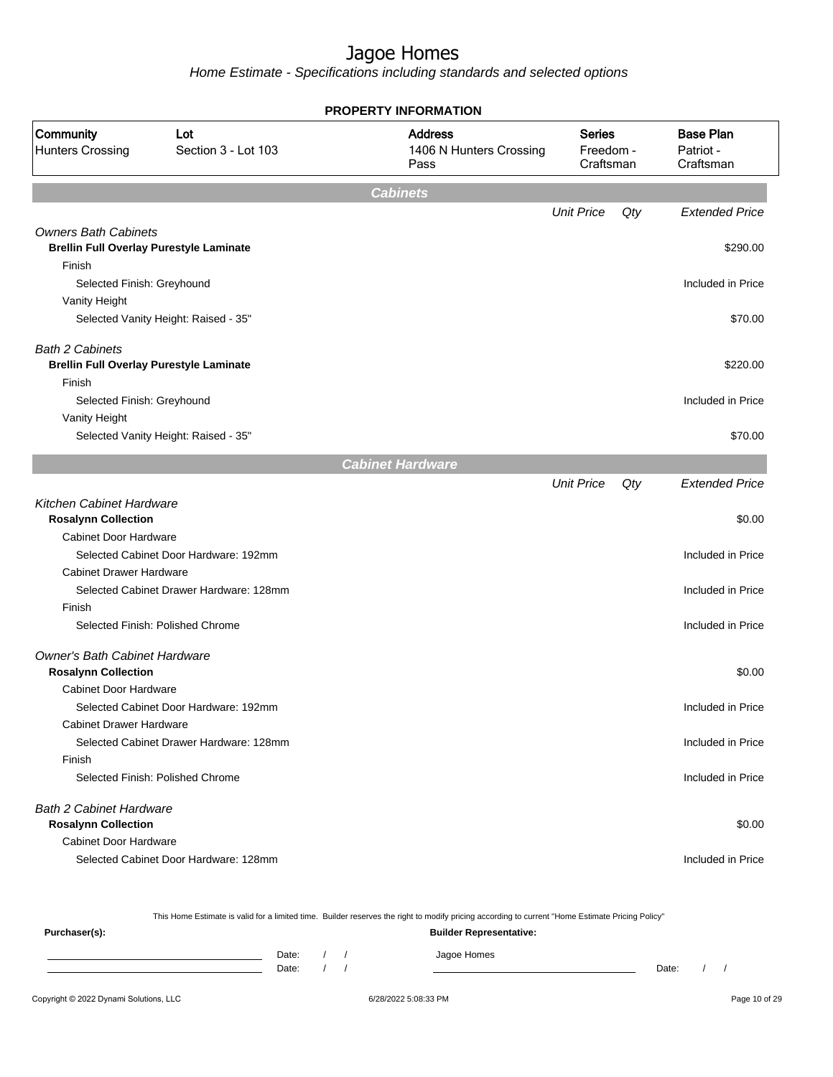Home Estimate - Specifications including standards and selected options

|                                                                               | <b>PROPERTY INFORMATION</b>             |                                                   |                                         |     |                                            |  |  |  |
|-------------------------------------------------------------------------------|-----------------------------------------|---------------------------------------------------|-----------------------------------------|-----|--------------------------------------------|--|--|--|
| Community<br><b>Hunters Crossing</b>                                          | Lot<br>Section 3 - Lot 103              | <b>Address</b><br>1406 N Hunters Crossing<br>Pass | <b>Series</b><br>Freedom -<br>Craftsman |     | <b>Base Plan</b><br>Patriot -<br>Craftsman |  |  |  |
|                                                                               |                                         | <b>Cabinets</b>                                   |                                         |     |                                            |  |  |  |
|                                                                               |                                         |                                                   | <b>Unit Price</b>                       | Qty | <b>Extended Price</b>                      |  |  |  |
| <b>Owners Bath Cabinets</b><br><b>Brellin Full Overlay Purestyle Laminate</b> |                                         |                                                   |                                         |     | \$290.00                                   |  |  |  |
| Finish<br>Selected Finish: Greyhound                                          |                                         |                                                   |                                         |     | Included in Price                          |  |  |  |
| Vanity Height                                                                 |                                         |                                                   |                                         |     |                                            |  |  |  |
|                                                                               | Selected Vanity Height: Raised - 35"    |                                                   |                                         |     | \$70.00                                    |  |  |  |
| <b>Bath 2 Cabinets</b>                                                        |                                         |                                                   |                                         |     |                                            |  |  |  |
| <b>Brellin Full Overlay Purestyle Laminate</b>                                |                                         |                                                   |                                         |     | \$220.00                                   |  |  |  |
| Finish<br>Selected Finish: Greyhound                                          |                                         |                                                   |                                         |     | Included in Price                          |  |  |  |
| Vanity Height                                                                 |                                         |                                                   |                                         |     |                                            |  |  |  |
|                                                                               | Selected Vanity Height: Raised - 35"    |                                                   |                                         |     | \$70.00                                    |  |  |  |
|                                                                               |                                         | <b>Cabinet Hardware</b>                           |                                         |     |                                            |  |  |  |
|                                                                               |                                         |                                                   | <b>Unit Price</b>                       | Qty | <b>Extended Price</b>                      |  |  |  |
| <b>Kitchen Cabinet Hardware</b><br><b>Rosalynn Collection</b>                 |                                         |                                                   |                                         |     | \$0.00                                     |  |  |  |
| <b>Cabinet Door Hardware</b>                                                  |                                         |                                                   |                                         |     |                                            |  |  |  |
|                                                                               | Selected Cabinet Door Hardware: 192mm   |                                                   |                                         |     | Included in Price                          |  |  |  |
| <b>Cabinet Drawer Hardware</b>                                                |                                         |                                                   |                                         |     |                                            |  |  |  |
|                                                                               | Selected Cabinet Drawer Hardware: 128mm |                                                   |                                         |     | Included in Price                          |  |  |  |
| Finish                                                                        |                                         |                                                   |                                         |     |                                            |  |  |  |
|                                                                               | Selected Finish: Polished Chrome        |                                                   |                                         |     | Included in Price                          |  |  |  |
| <b>Owner's Bath Cabinet Hardware</b><br><b>Rosalynn Collection</b>            |                                         |                                                   |                                         |     | \$0.00                                     |  |  |  |
| <b>Cabinet Door Hardware</b>                                                  |                                         |                                                   |                                         |     |                                            |  |  |  |
|                                                                               | Selected Cabinet Door Hardware: 192mm   |                                                   |                                         |     | Included in Price                          |  |  |  |
| <b>Cabinet Drawer Hardware</b>                                                |                                         |                                                   |                                         |     |                                            |  |  |  |
|                                                                               | Selected Cabinet Drawer Hardware: 128mm |                                                   |                                         |     | Included in Price                          |  |  |  |
| Finish                                                                        |                                         |                                                   |                                         |     |                                            |  |  |  |
|                                                                               | Selected Finish: Polished Chrome        |                                                   |                                         |     | Included in Price                          |  |  |  |
| <b>Bath 2 Cabinet Hardware</b>                                                |                                         |                                                   |                                         |     |                                            |  |  |  |
| <b>Rosalynn Collection</b>                                                    |                                         |                                                   |                                         |     | \$0.00                                     |  |  |  |
| <b>Cabinet Door Hardware</b>                                                  |                                         |                                                   |                                         |     |                                            |  |  |  |
|                                                                               | Selected Cabinet Door Hardware: 128mm   |                                                   |                                         |     | Included in Price                          |  |  |  |

This Home Estimate is valid for a limited time. Builder reserves the right to modify pricing according to current "Home Estimate Pricing Policy"

| Purchaser(s): |                |  | <b>Builder Representative:</b> |       |  |
|---------------|----------------|--|--------------------------------|-------|--|
|               | Date:<br>Date: |  | Jagoe Homes                    | Date: |  |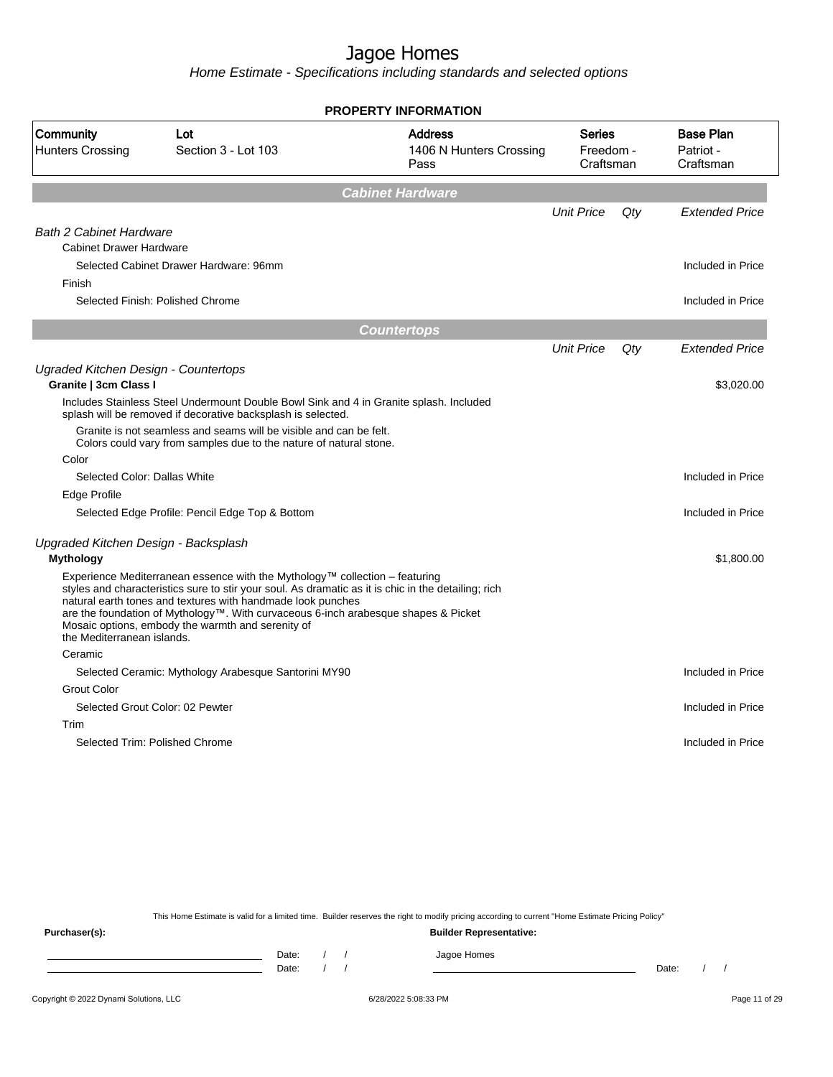Home Estimate - Specifications including standards and selected options

|                                      |                                                                                                                                                                                                                                                                                                                                                                                              | <b>PROPERTY INFORMATION</b>                       |                                         |        |                                            |
|--------------------------------------|----------------------------------------------------------------------------------------------------------------------------------------------------------------------------------------------------------------------------------------------------------------------------------------------------------------------------------------------------------------------------------------------|---------------------------------------------------|-----------------------------------------|--------|--------------------------------------------|
| Community<br><b>Hunters Crossing</b> | Lot<br>Section 3 - Lot 103                                                                                                                                                                                                                                                                                                                                                                   | <b>Address</b><br>1406 N Hunters Crossing<br>Pass | <b>Series</b><br>Freedom -<br>Craftsman |        | <b>Base Plan</b><br>Patriot -<br>Craftsman |
|                                      |                                                                                                                                                                                                                                                                                                                                                                                              | <b>Cabinet Hardware</b>                           |                                         |        |                                            |
|                                      |                                                                                                                                                                                                                                                                                                                                                                                              |                                                   | <b>Unit Price</b>                       | $Q$ ty | <b>Extended Price</b>                      |
| <b>Bath 2 Cabinet Hardware</b>       |                                                                                                                                                                                                                                                                                                                                                                                              |                                                   |                                         |        |                                            |
| <b>Cabinet Drawer Hardware</b>       |                                                                                                                                                                                                                                                                                                                                                                                              |                                                   |                                         |        |                                            |
|                                      | Selected Cabinet Drawer Hardware: 96mm                                                                                                                                                                                                                                                                                                                                                       |                                                   |                                         |        | Included in Price                          |
| Finish                               |                                                                                                                                                                                                                                                                                                                                                                                              |                                                   |                                         |        |                                            |
| Selected Finish: Polished Chrome     |                                                                                                                                                                                                                                                                                                                                                                                              |                                                   |                                         |        | Included in Price                          |
|                                      |                                                                                                                                                                                                                                                                                                                                                                                              | <b>Countertops</b>                                |                                         |        |                                            |
|                                      |                                                                                                                                                                                                                                                                                                                                                                                              |                                                   | <b>Unit Price</b>                       | $Q$ ty | <b>Extended Price</b>                      |
| Ugraded Kitchen Design - Countertops |                                                                                                                                                                                                                                                                                                                                                                                              |                                                   |                                         |        |                                            |
| Granite   3cm Class I                |                                                                                                                                                                                                                                                                                                                                                                                              |                                                   |                                         |        | \$3,020.00                                 |
|                                      | Includes Stainless Steel Undermount Double Bowl Sink and 4 in Granite splash. Included<br>splash will be removed if decorative backsplash is selected.                                                                                                                                                                                                                                       |                                                   |                                         |        |                                            |
|                                      | Granite is not seamless and seams will be visible and can be felt.<br>Colors could vary from samples due to the nature of natural stone.                                                                                                                                                                                                                                                     |                                                   |                                         |        |                                            |
| Color                                |                                                                                                                                                                                                                                                                                                                                                                                              |                                                   |                                         |        |                                            |
| Selected Color: Dallas White         |                                                                                                                                                                                                                                                                                                                                                                                              |                                                   |                                         |        | Included in Price                          |
| Edge Profile                         |                                                                                                                                                                                                                                                                                                                                                                                              |                                                   |                                         |        |                                            |
|                                      | Selected Edge Profile: Pencil Edge Top & Bottom                                                                                                                                                                                                                                                                                                                                              |                                                   |                                         |        | Included in Price                          |
| Upgraded Kitchen Design - Backsplash |                                                                                                                                                                                                                                                                                                                                                                                              |                                                   |                                         |        |                                            |
| <b>Mythology</b>                     |                                                                                                                                                                                                                                                                                                                                                                                              |                                                   |                                         |        | \$1,800.00                                 |
| the Mediterranean islands.           | Experience Mediterranean essence with the Mythology™ collection – featuring<br>styles and characteristics sure to stir your soul. As dramatic as it is chic in the detailing; rich<br>natural earth tones and textures with handmade look punches<br>are the foundation of Mythology™. With curvaceous 6-inch arabesque shapes & Picket<br>Mosaic options, embody the warmth and serenity of |                                                   |                                         |        |                                            |
| Ceramic                              |                                                                                                                                                                                                                                                                                                                                                                                              |                                                   |                                         |        |                                            |
|                                      |                                                                                                                                                                                                                                                                                                                                                                                              |                                                   |                                         |        | Included in Price                          |
|                                      | Selected Ceramic: Mythology Arabesque Santorini MY90                                                                                                                                                                                                                                                                                                                                         |                                                   |                                         |        |                                            |
| <b>Grout Color</b>                   |                                                                                                                                                                                                                                                                                                                                                                                              |                                                   |                                         |        |                                            |
| Selected Grout Color: 02 Pewter      |                                                                                                                                                                                                                                                                                                                                                                                              |                                                   |                                         |        | Included in Price                          |
| Trim                                 |                                                                                                                                                                                                                                                                                                                                                                                              |                                                   |                                         |        |                                            |

This Home Estimate is valid for a limited time. Builder reserves the right to modify pricing according to current "Home Estimate Pricing Policy"

**Purchaser(s): Builder Representative:** Date: / / Jagoe Homes<br>Date: / / Jagoe Homes Date: / / Date: / /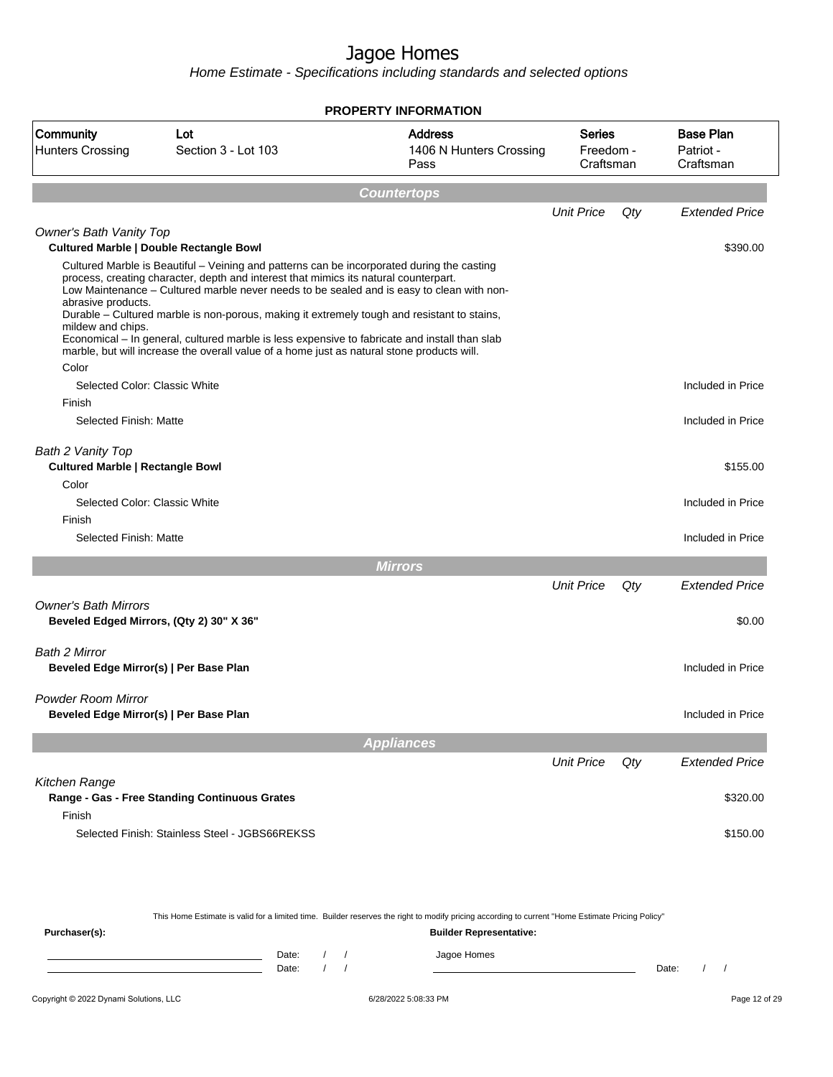|                                                                       |                                                                                                                                                                                                                                                                                                                                                                                                                                                                                                                                                                               | <b>PROPERTY INFORMATION</b>                       |                                         |     |                                            |
|-----------------------------------------------------------------------|-------------------------------------------------------------------------------------------------------------------------------------------------------------------------------------------------------------------------------------------------------------------------------------------------------------------------------------------------------------------------------------------------------------------------------------------------------------------------------------------------------------------------------------------------------------------------------|---------------------------------------------------|-----------------------------------------|-----|--------------------------------------------|
| Community<br><b>Hunters Crossing</b>                                  | Lot<br>Section 3 - Lot 103                                                                                                                                                                                                                                                                                                                                                                                                                                                                                                                                                    | <b>Address</b><br>1406 N Hunters Crossing<br>Pass | <b>Series</b><br>Freedom -<br>Craftsman |     | <b>Base Plan</b><br>Patriot -<br>Craftsman |
|                                                                       |                                                                                                                                                                                                                                                                                                                                                                                                                                                                                                                                                                               | <b>Countertops</b>                                |                                         |     |                                            |
|                                                                       |                                                                                                                                                                                                                                                                                                                                                                                                                                                                                                                                                                               |                                                   | <b>Unit Price</b>                       | Qty | <b>Extended Price</b>                      |
| Owner's Bath Vanity Top                                               | <b>Cultured Marble   Double Rectangle Bowl</b>                                                                                                                                                                                                                                                                                                                                                                                                                                                                                                                                |                                                   |                                         |     |                                            |
| abrasive products.<br>mildew and chips.<br>Color                      | Cultured Marble is Beautiful - Veining and patterns can be incorporated during the casting<br>process, creating character, depth and interest that mimics its natural counterpart.<br>Low Maintenance - Cultured marble never needs to be sealed and is easy to clean with non-<br>Durable - Cultured marble is non-porous, making it extremely tough and resistant to stains,<br>Economical - In general, cultured marble is less expensive to fabricate and install than slab<br>marble, but will increase the overall value of a home just as natural stone products will. |                                                   |                                         |     | \$390.00                                   |
| Selected Color: Classic White                                         |                                                                                                                                                                                                                                                                                                                                                                                                                                                                                                                                                                               |                                                   |                                         |     | Included in Price                          |
| Finish                                                                |                                                                                                                                                                                                                                                                                                                                                                                                                                                                                                                                                                               |                                                   |                                         |     |                                            |
| Selected Finish: Matte                                                |                                                                                                                                                                                                                                                                                                                                                                                                                                                                                                                                                                               |                                                   |                                         |     | Included in Price                          |
| Bath 2 Vanity Top<br><b>Cultured Marble   Rectangle Bowl</b><br>Color |                                                                                                                                                                                                                                                                                                                                                                                                                                                                                                                                                                               |                                                   |                                         |     | \$155.00                                   |
| Selected Color: Classic White                                         |                                                                                                                                                                                                                                                                                                                                                                                                                                                                                                                                                                               |                                                   |                                         |     | Included in Price                          |
| Finish                                                                |                                                                                                                                                                                                                                                                                                                                                                                                                                                                                                                                                                               |                                                   |                                         |     |                                            |
| Selected Finish: Matte                                                |                                                                                                                                                                                                                                                                                                                                                                                                                                                                                                                                                                               |                                                   |                                         |     | Included in Price                          |
|                                                                       |                                                                                                                                                                                                                                                                                                                                                                                                                                                                                                                                                                               | <b>Mirrors</b>                                    |                                         |     |                                            |
| <b>Owner's Bath Mirrors</b>                                           | Beveled Edged Mirrors, (Qty 2) 30" X 36"                                                                                                                                                                                                                                                                                                                                                                                                                                                                                                                                      |                                                   | <b>Unit Price</b>                       | Qty | <b>Extended Price</b><br>\$0.00            |
| Bath 2 Mirror<br>Beveled Edge Mirror(s)   Per Base Plan               |                                                                                                                                                                                                                                                                                                                                                                                                                                                                                                                                                                               |                                                   |                                         |     | Included in Price                          |
| <b>Powder Room Mirror</b><br>Beveled Edge Mirror(s)   Per Base Plan   |                                                                                                                                                                                                                                                                                                                                                                                                                                                                                                                                                                               |                                                   |                                         |     | Included in Price                          |
|                                                                       |                                                                                                                                                                                                                                                                                                                                                                                                                                                                                                                                                                               | <b>Appliances</b>                                 |                                         |     |                                            |
|                                                                       |                                                                                                                                                                                                                                                                                                                                                                                                                                                                                                                                                                               |                                                   | <b>Unit Price</b>                       | Qty | <b>Extended Price</b>                      |
| Kitchen Range<br>Finish                                               | Range - Gas - Free Standing Continuous Grates                                                                                                                                                                                                                                                                                                                                                                                                                                                                                                                                 |                                                   |                                         |     | \$320.00                                   |
|                                                                       | Selected Finish: Stainless Steel - JGBS66REKSS                                                                                                                                                                                                                                                                                                                                                                                                                                                                                                                                |                                                   |                                         |     | \$150.00                                   |

| This Home Estimate is valid for a limited time. Builder reserves the right to modify pricing according to current "Home Estimate Pricing Policy" |  |       |  |  |                                |       |  |  |
|--------------------------------------------------------------------------------------------------------------------------------------------------|--|-------|--|--|--------------------------------|-------|--|--|
| Purchaser(s):                                                                                                                                    |  |       |  |  | <b>Builder Representative:</b> |       |  |  |
|                                                                                                                                                  |  | Date: |  |  | Jagoe Homes                    |       |  |  |
|                                                                                                                                                  |  | Date: |  |  |                                | Date: |  |  |
|                                                                                                                                                  |  |       |  |  |                                |       |  |  |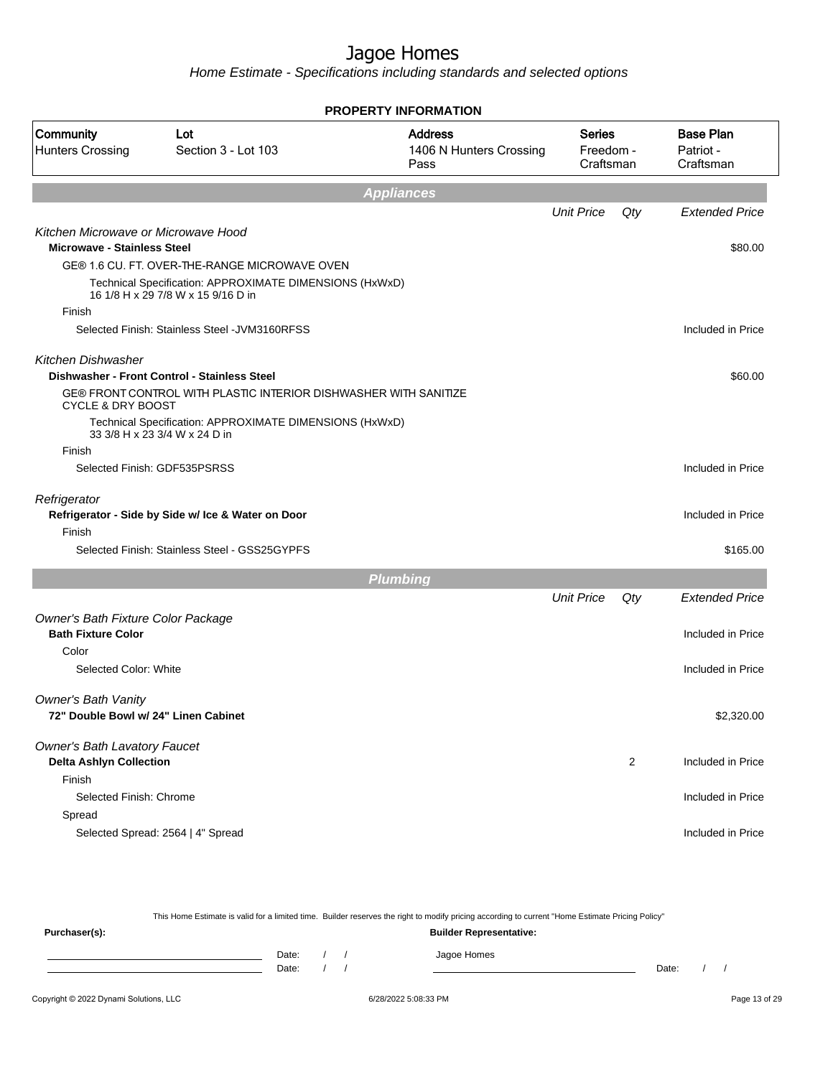|                                                                           |                                                                                               | <b>PROPERTY INFORMATION</b>                       |                                         |                |                                            |
|---------------------------------------------------------------------------|-----------------------------------------------------------------------------------------------|---------------------------------------------------|-----------------------------------------|----------------|--------------------------------------------|
| Community<br><b>Hunters Crossing</b>                                      | Lot<br>Section 3 - Lot 103                                                                    | <b>Address</b><br>1406 N Hunters Crossing<br>Pass | <b>Series</b><br>Freedom -<br>Craftsman |                | <b>Base Plan</b><br>Patriot -<br>Craftsman |
|                                                                           |                                                                                               | <b>Appliances</b>                                 |                                         |                |                                            |
|                                                                           |                                                                                               |                                                   | <b>Unit Price</b>                       | Qty            | <b>Extended Price</b>                      |
| Kitchen Microwave or Microwave Hood<br><b>Microwave - Stainless Steel</b> |                                                                                               |                                                   |                                         |                | \$80.00                                    |
|                                                                           | GE® 1.6 CU. FT. OVER-THE-RANGE MICROWAVE OVEN                                                 |                                                   |                                         |                |                                            |
|                                                                           | Technical Specification: APPROXIMATE DIMENSIONS (HxWxD)<br>16 1/8 H x 29 7/8 W x 15 9/16 D in |                                                   |                                         |                |                                            |
| Finish                                                                    |                                                                                               |                                                   |                                         |                |                                            |
|                                                                           | Selected Finish: Stainless Steel - JVM3160RFSS                                                |                                                   |                                         |                | Included in Price                          |
| <b>Kitchen Dishwasher</b>                                                 | Dishwasher - Front Control - Stainless Steel                                                  |                                                   |                                         |                | \$60.00                                    |
| <b>CYCLE &amp; DRY BOOST</b>                                              | GE® FRONT CONTROL WITH PLASTIC INTERIOR DISHWASHER WITH SANITIZE                              |                                                   |                                         |                |                                            |
|                                                                           | Technical Specification: APPROXIMATE DIMENSIONS (HxWxD)<br>33 3/8 H x 23 3/4 W x 24 D in      |                                                   |                                         |                |                                            |
| Finish                                                                    |                                                                                               |                                                   |                                         |                |                                            |
|                                                                           | Selected Finish: GDF535PSRSS                                                                  |                                                   |                                         |                | Included in Price                          |
| Refrigerator                                                              | Refrigerator - Side by Side w/ Ice & Water on Door                                            |                                                   |                                         |                | Included in Price                          |
| Finish                                                                    |                                                                                               |                                                   |                                         |                |                                            |
|                                                                           | Selected Finish: Stainless Steel - GSS25GYPFS                                                 |                                                   |                                         |                | \$165.00                                   |
|                                                                           |                                                                                               | <b>Plumbing</b>                                   |                                         |                |                                            |
|                                                                           |                                                                                               |                                                   | <b>Unit Price</b>                       | Qty            | <b>Extended Price</b>                      |
| Owner's Bath Fixture Color Package<br><b>Bath Fixture Color</b>           |                                                                                               |                                                   |                                         |                | Included in Price                          |
| Color                                                                     |                                                                                               |                                                   |                                         |                |                                            |
| Selected Color: White                                                     |                                                                                               |                                                   |                                         |                | Included in Price                          |
| <b>Owner's Bath Vanity</b><br>72" Double Bowl w/ 24" Linen Cabinet        |                                                                                               |                                                   |                                         |                | \$2,320.00                                 |
| <b>Owner's Bath Lavatory Faucet</b>                                       |                                                                                               |                                                   |                                         |                |                                            |
| <b>Delta Ashlyn Collection</b><br>Finish                                  |                                                                                               |                                                   |                                         | $\overline{c}$ | Included in Price                          |
| Selected Finish: Chrome                                                   |                                                                                               |                                                   |                                         |                | Included in Price                          |
| Spread                                                                    |                                                                                               |                                                   |                                         |                |                                            |
|                                                                           | Selected Spread: 2564   4" Spread                                                             |                                                   |                                         |                | Included in Price                          |
|                                                                           |                                                                                               |                                                   |                                         |                |                                            |

|               |       |  | This Home Estimate is valid for a limited time. Builder reserves the right to modify pricing according to current "Home Estimate Pricing Policy" |  |  |
|---------------|-------|--|--------------------------------------------------------------------------------------------------------------------------------------------------|--|--|
| Purchaser(s): |       |  | <b>Builder Representative:</b>                                                                                                                   |  |  |
|               | Date: |  | Jagoe Homes                                                                                                                                      |  |  |
|               | Date: |  | Date:                                                                                                                                            |  |  |
|               |       |  |                                                                                                                                                  |  |  |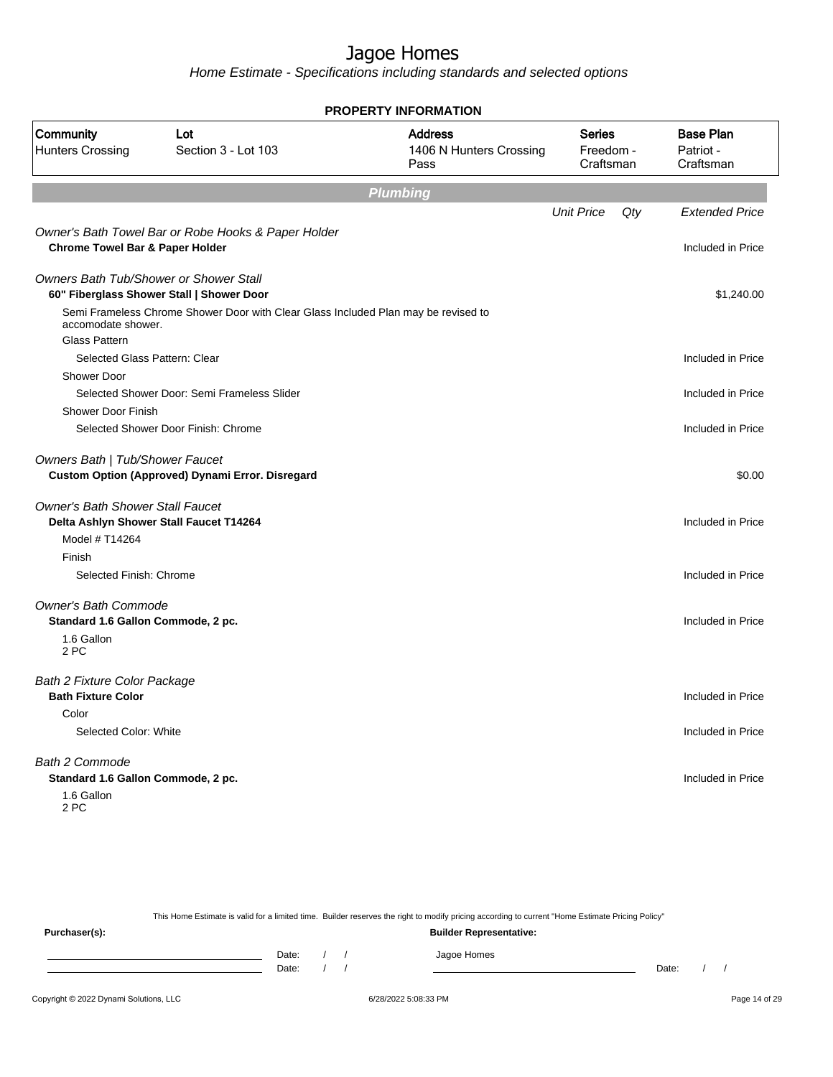Home Estimate - Specifications including standards and selected options

| <b>PROPERTY INFORMATION</b>                                                       |                                                                                    |                                                   |                                         |     |                                            |  |
|-----------------------------------------------------------------------------------|------------------------------------------------------------------------------------|---------------------------------------------------|-----------------------------------------|-----|--------------------------------------------|--|
| Community<br><b>Hunters Crossing</b>                                              | Lot<br>Section 3 - Lot 103                                                         | <b>Address</b><br>1406 N Hunters Crossing<br>Pass | <b>Series</b><br>Freedom -<br>Craftsman |     | <b>Base Plan</b><br>Patriot -<br>Craftsman |  |
|                                                                                   |                                                                                    | <b>Plumbing</b>                                   |                                         |     |                                            |  |
|                                                                                   |                                                                                    |                                                   | <b>Unit Price</b>                       | Qty | <b>Extended Price</b>                      |  |
| <b>Chrome Towel Bar &amp; Paper Holder</b>                                        | Owner's Bath Towel Bar or Robe Hooks & Paper Holder                                |                                                   |                                         |     | Included in Price                          |  |
| <b>Owners Bath Tub/Shower or Shower Stall</b>                                     | 60" Fiberglass Shower Stall   Shower Door                                          |                                                   |                                         |     | \$1,240.00                                 |  |
| accomodate shower.                                                                | Semi Frameless Chrome Shower Door with Clear Glass Included Plan may be revised to |                                                   |                                         |     |                                            |  |
| <b>Glass Pattern</b>                                                              |                                                                                    |                                                   |                                         |     |                                            |  |
| Selected Glass Pattern: Clear                                                     |                                                                                    |                                                   |                                         |     | Included in Price                          |  |
| <b>Shower Door</b>                                                                | Selected Shower Door: Semi Frameless Slider                                        |                                                   |                                         |     |                                            |  |
| Shower Door Finish                                                                |                                                                                    |                                                   |                                         |     | Included in Price                          |  |
|                                                                                   | Selected Shower Door Finish: Chrome                                                |                                                   |                                         |     | Included in Price                          |  |
| Owners Bath   Tub/Shower Faucet                                                   | Custom Option (Approved) Dynami Error. Disregard                                   |                                                   |                                         |     | \$0.00                                     |  |
| <b>Owner's Bath Shower Stall Faucet</b><br>Model # T14264                         | Delta Ashlyn Shower Stall Faucet T14264                                            |                                                   |                                         |     | Included in Price                          |  |
| Finish<br>Selected Finish: Chrome                                                 |                                                                                    |                                                   |                                         |     | Included in Price                          |  |
| <b>Owner's Bath Commode</b>                                                       |                                                                                    |                                                   |                                         |     |                                            |  |
| Standard 1.6 Gallon Commode, 2 pc.<br>1.6 Gallon<br>2 PC                          |                                                                                    |                                                   |                                         |     | Included in Price                          |  |
| <b>Bath 2 Fixture Color Package</b><br><b>Bath Fixture Color</b>                  |                                                                                    |                                                   |                                         |     | Included in Price                          |  |
| Color                                                                             |                                                                                    |                                                   |                                         |     |                                            |  |
| Selected Color: White                                                             |                                                                                    |                                                   |                                         |     | Included in Price                          |  |
| <b>Bath 2 Commode</b><br>Standard 1.6 Gallon Commode, 2 pc.<br>1.6 Gallon<br>2 PC |                                                                                    |                                                   |                                         |     | Included in Price                          |  |

This Home Estimate is valid for a limited time. Builder reserves the right to modify pricing according to current "Home Estimate Pricing Policy"

**Purchaser(s): Builder Representative:** Date: / / Jagoe Homes<br>Date: / / Jagoe Homes Date: / / **Date: / / 2006** Date: / / / Date: / / /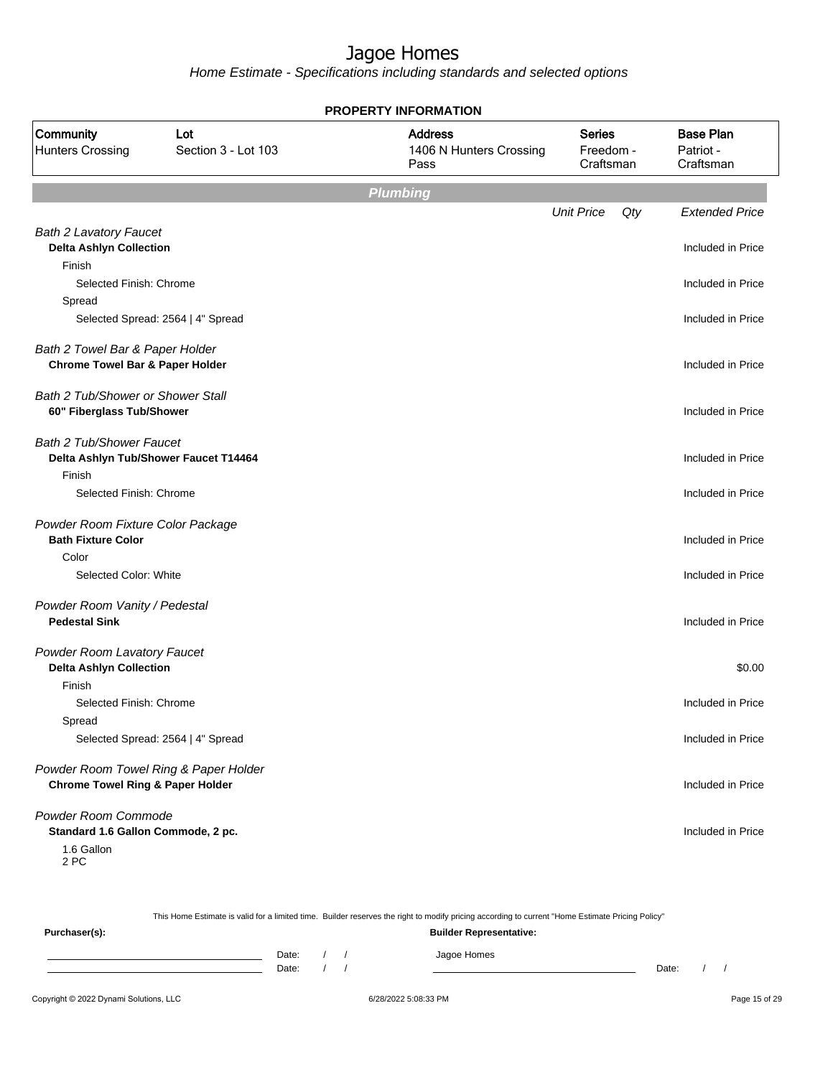Home Estimate - Specifications including standards and selected options

|                                                                |                                       | <b>PROPERTY INFORMATION</b>                       |                                         |     |                                            |
|----------------------------------------------------------------|---------------------------------------|---------------------------------------------------|-----------------------------------------|-----|--------------------------------------------|
| Community<br><b>Hunters Crossing</b>                           | Lot<br>Section 3 - Lot 103            | <b>Address</b><br>1406 N Hunters Crossing<br>Pass | <b>Series</b><br>Freedom -<br>Craftsman |     | <b>Base Plan</b><br>Patriot -<br>Craftsman |
|                                                                |                                       | <b>Plumbing</b>                                   |                                         |     |                                            |
|                                                                |                                       |                                                   | <b>Unit Price</b>                       | Qty | <b>Extended Price</b>                      |
| <b>Bath 2 Lavatory Faucet</b>                                  |                                       |                                                   |                                         |     | Included in Price                          |
| <b>Delta Ashlyn Collection</b><br>Finish                       |                                       |                                                   |                                         |     |                                            |
| Selected Finish: Chrome                                        |                                       |                                                   |                                         |     | Included in Price                          |
| Spread                                                         |                                       |                                                   |                                         |     |                                            |
|                                                                | Selected Spread: 2564   4" Spread     |                                                   |                                         |     | Included in Price                          |
| Bath 2 Towel Bar & Paper Holder                                |                                       |                                                   |                                         |     |                                            |
| <b>Chrome Towel Bar &amp; Paper Holder</b>                     |                                       |                                                   |                                         |     | Included in Price                          |
| <b>Bath 2 Tub/Shower or Shower Stall</b>                       |                                       |                                                   |                                         |     |                                            |
| 60" Fiberglass Tub/Shower                                      |                                       |                                                   |                                         |     | Included in Price                          |
| Bath 2 Tub/Shower Faucet                                       |                                       |                                                   |                                         |     |                                            |
|                                                                | Delta Ashlyn Tub/Shower Faucet T14464 |                                                   |                                         |     | Included in Price                          |
| Finish<br>Selected Finish: Chrome                              |                                       |                                                   |                                         |     | Included in Price                          |
|                                                                |                                       |                                                   |                                         |     |                                            |
| Powder Room Fixture Color Package<br><b>Bath Fixture Color</b> |                                       |                                                   |                                         |     | Included in Price                          |
| Color                                                          |                                       |                                                   |                                         |     |                                            |
| Selected Color: White                                          |                                       |                                                   |                                         |     | Included in Price                          |
| Powder Room Vanity / Pedestal                                  |                                       |                                                   |                                         |     |                                            |
| <b>Pedestal Sink</b>                                           |                                       |                                                   |                                         |     | Included in Price                          |
| Powder Room Lavatory Faucet                                    |                                       |                                                   |                                         |     |                                            |
| <b>Delta Ashlyn Collection</b>                                 |                                       |                                                   |                                         |     | \$0.00                                     |
| Finish                                                         |                                       |                                                   |                                         |     |                                            |
| Selected Finish: Chrome                                        |                                       |                                                   |                                         |     | Included in Price                          |
| Spread                                                         |                                       |                                                   |                                         |     |                                            |
|                                                                | Selected Spread: 2564   4" Spread     |                                                   |                                         |     | Included in Price                          |
|                                                                | Powder Room Towel Ring & Paper Holder |                                                   |                                         |     |                                            |
| <b>Chrome Towel Ring &amp; Paper Holder</b>                    |                                       |                                                   |                                         |     | Included in Price                          |
| Powder Room Commode                                            |                                       |                                                   |                                         |     |                                            |
| Standard 1.6 Gallon Commode, 2 pc.                             |                                       |                                                   |                                         |     | Included in Price                          |
| 1.6 Gallon                                                     |                                       |                                                   |                                         |     |                                            |

2 PC

This Home Estimate is valid for a limited time. Builder reserves the right to modify pricing according to current "Home Estimate Pricing Policy" **Purchaser(s): Builder Representative:** Date: / / Jagoe Homes<br>Date: / / Jagoe Homes Date: / / Date: / /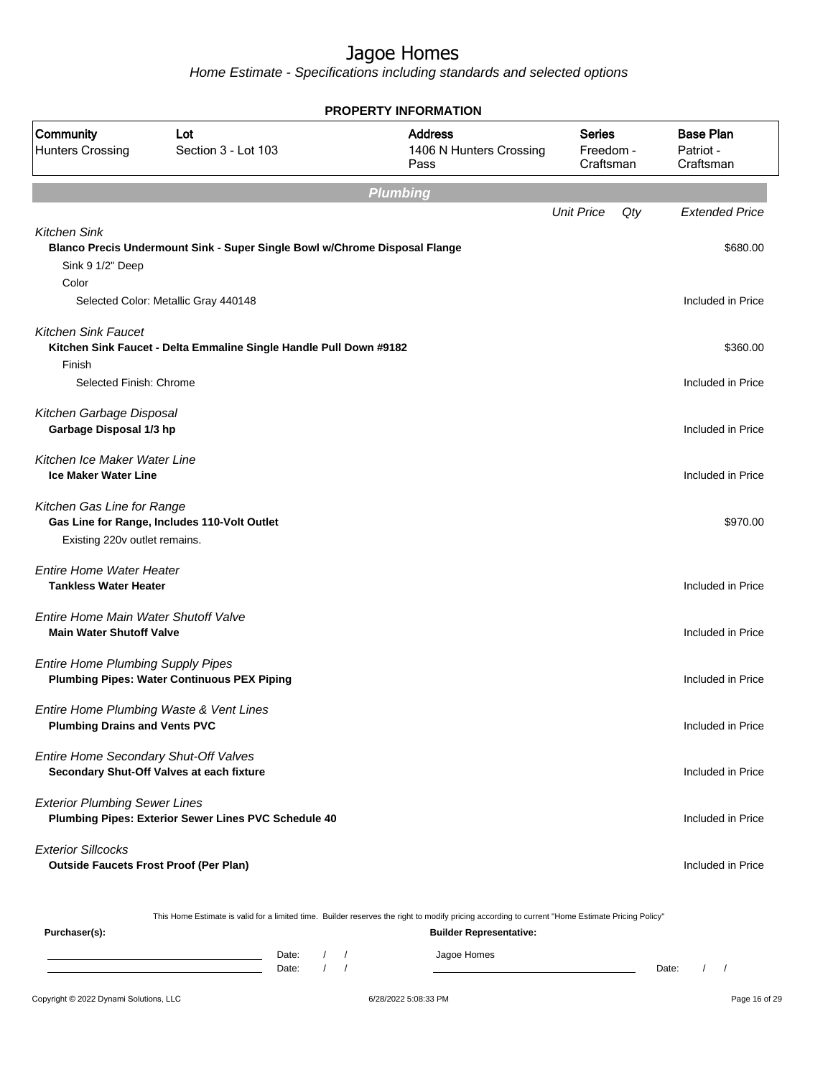Home Estimate - Specifications including standards and selected options

|                                                                            |                                                                            | <b>PROPERTY INFORMATION</b>                                                                                                                                                        |                                         |     |                                            |
|----------------------------------------------------------------------------|----------------------------------------------------------------------------|------------------------------------------------------------------------------------------------------------------------------------------------------------------------------------|-----------------------------------------|-----|--------------------------------------------|
| Community<br><b>Hunters Crossing</b>                                       | Lot<br>Section 3 - Lot 103                                                 | <b>Address</b><br>1406 N Hunters Crossing<br>Pass                                                                                                                                  | <b>Series</b><br>Freedom -<br>Craftsman |     | <b>Base Plan</b><br>Patriot -<br>Craftsman |
|                                                                            |                                                                            | <b>Plumbing</b>                                                                                                                                                                    |                                         |     |                                            |
|                                                                            |                                                                            |                                                                                                                                                                                    | <b>Unit Price</b>                       | Qty | <b>Extended Price</b>                      |
| <b>Kitchen Sink</b><br>Sink 9 1/2" Deep<br>Color                           | Blanco Precis Undermount Sink - Super Single Bowl w/Chrome Disposal Flange |                                                                                                                                                                                    |                                         |     | \$680.00                                   |
|                                                                            | Selected Color: Metallic Gray 440148                                       |                                                                                                                                                                                    |                                         |     | Included in Price                          |
| <b>Kitchen Sink Faucet</b><br>Finish<br>Selected Finish: Chrome            | Kitchen Sink Faucet - Delta Emmaline Single Handle Pull Down #9182         |                                                                                                                                                                                    |                                         |     | \$360.00<br>Included in Price              |
| Kitchen Garbage Disposal<br>Garbage Disposal 1/3 hp                        |                                                                            |                                                                                                                                                                                    |                                         |     | Included in Price                          |
| Kitchen Ice Maker Water Line<br><b>Ice Maker Water Line</b>                |                                                                            |                                                                                                                                                                                    |                                         |     | Included in Price                          |
| Kitchen Gas Line for Range<br>Existing 220v outlet remains.                | Gas Line for Range, Includes 110-Volt Outlet                               |                                                                                                                                                                                    |                                         |     | \$970.00                                   |
| Entire Home Water Heater<br><b>Tankless Water Heater</b>                   |                                                                            |                                                                                                                                                                                    |                                         |     | Included in Price                          |
| Entire Home Main Water Shutoff Valve<br><b>Main Water Shutoff Valve</b>    |                                                                            |                                                                                                                                                                                    |                                         |     | Included in Price                          |
| <b>Entire Home Plumbing Supply Pipes</b>                                   | <b>Plumbing Pipes: Water Continuous PEX Piping</b>                         |                                                                                                                                                                                    |                                         |     | Included in Price                          |
| <b>Plumbing Drains and Vents PVC</b>                                       | Entire Home Plumbing Waste & Vent Lines                                    |                                                                                                                                                                                    |                                         |     | Included in Price                          |
| Entire Home Secondary Shut-Off Valves                                      | Secondary Shut-Off Valves at each fixture                                  |                                                                                                                                                                                    |                                         |     | Included in Price                          |
| <b>Exterior Plumbing Sewer Lines</b>                                       | Plumbing Pipes: Exterior Sewer Lines PVC Schedule 40                       |                                                                                                                                                                                    |                                         |     | Included in Price                          |
| <b>Exterior Sillcocks</b><br><b>Outside Faucets Frost Proof (Per Plan)</b> |                                                                            |                                                                                                                                                                                    |                                         |     | Included in Price                          |
| Purchaser(s):                                                              |                                                                            | This Home Estimate is valid for a limited time. Builder reserves the right to modify pricing according to current "Home Estimate Pricing Policy"<br><b>Builder Representative:</b> |                                         |     |                                            |

Date: / / Jagoe Homes<br>Date: / / Jagoe Homes Date: / / Date: / /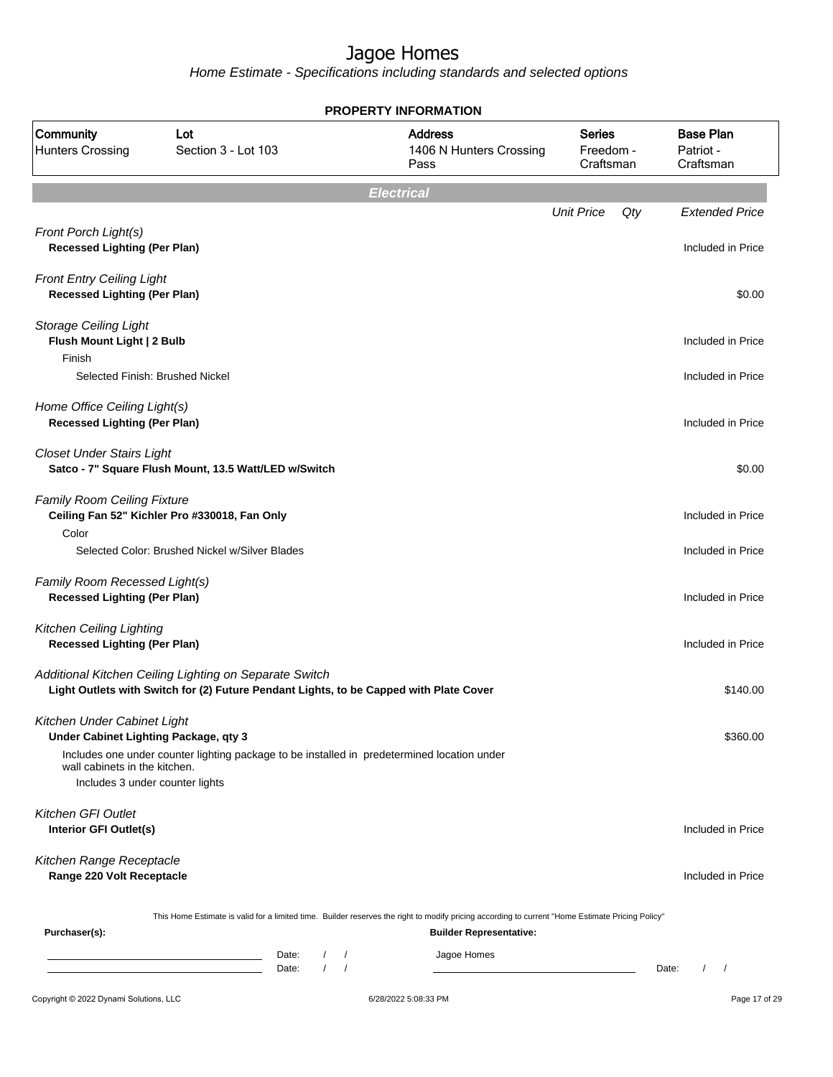|                                                                         |                                                                                                                                                  | <b>PROPERTY INFORMATION</b>                                                                                                                      |                                         |                                                 |
|-------------------------------------------------------------------------|--------------------------------------------------------------------------------------------------------------------------------------------------|--------------------------------------------------------------------------------------------------------------------------------------------------|-----------------------------------------|-------------------------------------------------|
| Community<br><b>Hunters Crossing</b>                                    | Lot<br>Section 3 - Lot 103                                                                                                                       | <b>Address</b><br>1406 N Hunters Crossing<br>Pass                                                                                                | <b>Series</b><br>Freedom -<br>Craftsman | <b>Base Plan</b><br>Patriot -<br>Craftsman      |
|                                                                         |                                                                                                                                                  | <b>Electrical</b>                                                                                                                                |                                         |                                                 |
|                                                                         |                                                                                                                                                  |                                                                                                                                                  | <b>Unit Price</b><br>Qty                | <b>Extended Price</b>                           |
| Front Porch Light(s)<br><b>Recessed Lighting (Per Plan)</b>             |                                                                                                                                                  |                                                                                                                                                  |                                         | Included in Price                               |
| <b>Front Entry Ceiling Light</b><br><b>Recessed Lighting (Per Plan)</b> |                                                                                                                                                  |                                                                                                                                                  |                                         | \$0.00                                          |
| <b>Storage Ceiling Light</b><br>Flush Mount Light   2 Bulb<br>Finish    |                                                                                                                                                  |                                                                                                                                                  |                                         | Included in Price                               |
|                                                                         | Selected Finish: Brushed Nickel                                                                                                                  |                                                                                                                                                  |                                         | Included in Price                               |
| Home Office Ceiling Light(s)<br><b>Recessed Lighting (Per Plan)</b>     |                                                                                                                                                  |                                                                                                                                                  |                                         | Included in Price                               |
| <b>Closet Under Stairs Light</b>                                        | Satco - 7" Square Flush Mount, 13.5 Watt/LED w/Switch                                                                                            |                                                                                                                                                  |                                         | \$0.00                                          |
| Family Room Ceiling Fixture                                             | Ceiling Fan 52" Kichler Pro #330018, Fan Only                                                                                                    |                                                                                                                                                  |                                         | Included in Price                               |
| Color                                                                   | Selected Color: Brushed Nickel w/Silver Blades                                                                                                   |                                                                                                                                                  |                                         | Included in Price                               |
| Family Room Recessed Light(s)<br><b>Recessed Lighting (Per Plan)</b>    |                                                                                                                                                  |                                                                                                                                                  |                                         | Included in Price                               |
| <b>Kitchen Ceiling Lighting</b><br><b>Recessed Lighting (Per Plan)</b>  |                                                                                                                                                  |                                                                                                                                                  |                                         | Included in Price                               |
|                                                                         | Additional Kitchen Ceiling Lighting on Separate Switch<br>Light Outlets with Switch for (2) Future Pendant Lights, to be Capped with Plate Cover |                                                                                                                                                  |                                         | \$140.00                                        |
| Kitchen Under Cabinet Light<br>Under Cabinet Lighting Package, qty 3    |                                                                                                                                                  |                                                                                                                                                  |                                         | \$360.00                                        |
| wall cabinets in the kitchen.<br>Includes 3 under counter lights        | Includes one under counter lighting package to be installed in predetermined location under                                                      |                                                                                                                                                  |                                         |                                                 |
| <b>Kitchen GFI Outlet</b><br>Interior GFI Outlet(s)                     |                                                                                                                                                  |                                                                                                                                                  |                                         | Included in Price                               |
| Kitchen Range Receptacle<br>Range 220 Volt Receptacle                   |                                                                                                                                                  |                                                                                                                                                  |                                         | Included in Price                               |
|                                                                         |                                                                                                                                                  | This Home Estimate is valid for a limited time. Builder reserves the right to modify pricing according to current "Home Estimate Pricing Policy" |                                         |                                                 |
| Purchaser(s):                                                           |                                                                                                                                                  | <b>Builder Representative:</b>                                                                                                                   |                                         |                                                 |
|                                                                         | Date:<br>$\sqrt{2}$<br>$\sqrt{ }$<br>Date:                                                                                                       | Jagoe Homes<br>$\sqrt{2}$<br>$\sqrt{ }$                                                                                                          |                                         | Date:<br>$\sqrt{2}$<br>$\overline{\phantom{a}}$ |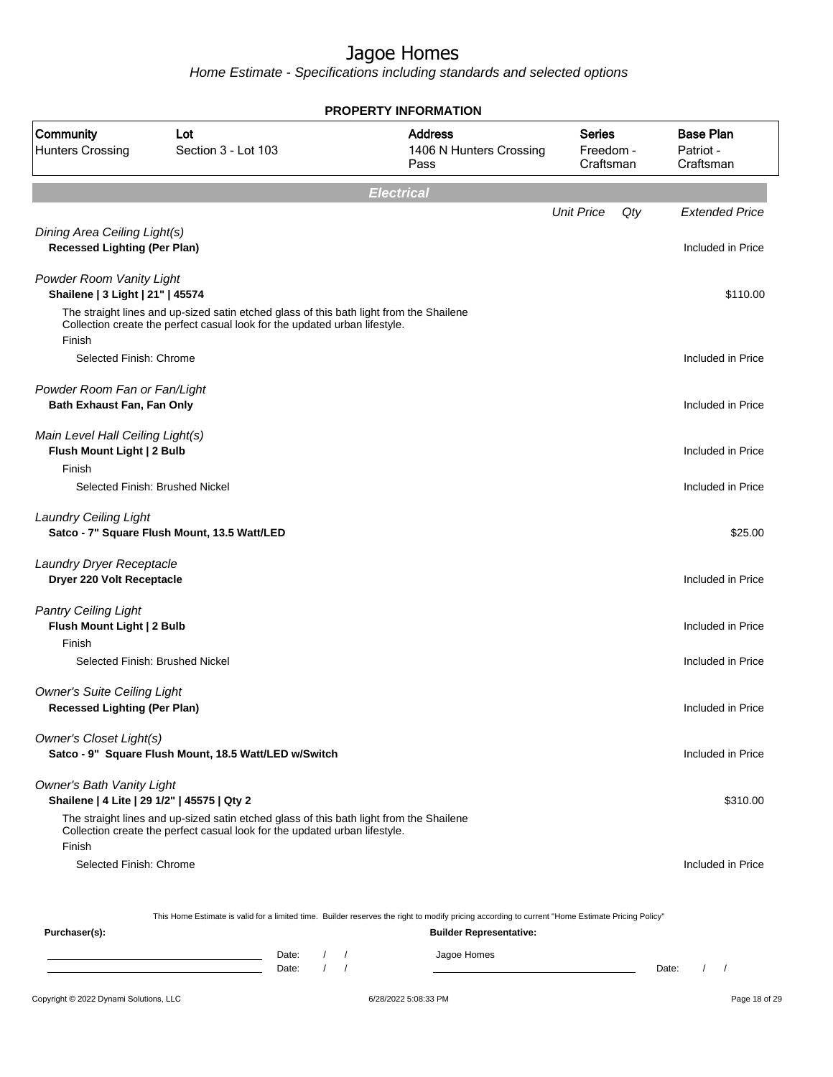|                                                                                 |                                                                                                                                                                       |                                |                   | <b>PROPERTY INFORMATION</b>                                                                                                                      |                                         |     |                                            |
|---------------------------------------------------------------------------------|-----------------------------------------------------------------------------------------------------------------------------------------------------------------------|--------------------------------|-------------------|--------------------------------------------------------------------------------------------------------------------------------------------------|-----------------------------------------|-----|--------------------------------------------|
| Community<br><b>Hunters Crossing</b>                                            | Lot<br>Section 3 - Lot 103                                                                                                                                            |                                |                   | <b>Address</b><br>1406 N Hunters Crossing<br>Pass                                                                                                | <b>Series</b><br>Freedom -<br>Craftsman |     | <b>Base Plan</b><br>Patriot -<br>Craftsman |
|                                                                                 |                                                                                                                                                                       |                                | <b>Electrical</b> |                                                                                                                                                  |                                         |     |                                            |
|                                                                                 |                                                                                                                                                                       |                                |                   |                                                                                                                                                  | <b>Unit Price</b>                       | Qty | <b>Extended Price</b>                      |
| Dining Area Ceiling Light(s)<br><b>Recessed Lighting (Per Plan)</b>             |                                                                                                                                                                       |                                |                   |                                                                                                                                                  |                                         |     | Included in Price                          |
| Powder Room Vanity Light<br>Shailene   3 Light   21"   45574                    |                                                                                                                                                                       |                                |                   |                                                                                                                                                  |                                         |     | \$110.00                                   |
| Finish                                                                          | The straight lines and up-sized satin etched glass of this bath light from the Shailene<br>Collection create the perfect casual look for the updated urban lifestyle. |                                |                   |                                                                                                                                                  |                                         |     |                                            |
| Selected Finish: Chrome                                                         |                                                                                                                                                                       |                                |                   |                                                                                                                                                  |                                         |     | Included in Price                          |
| Powder Room Fan or Fan/Light<br>Bath Exhaust Fan, Fan Only                      |                                                                                                                                                                       |                                |                   |                                                                                                                                                  |                                         |     | Included in Price                          |
| Main Level Hall Ceiling Light(s)<br>Flush Mount Light   2 Bulb                  |                                                                                                                                                                       |                                |                   |                                                                                                                                                  |                                         |     | Included in Price                          |
| Finish<br>Selected Finish: Brushed Nickel                                       |                                                                                                                                                                       |                                |                   |                                                                                                                                                  |                                         |     | Included in Price                          |
| <b>Laundry Ceiling Light</b>                                                    | Satco - 7" Square Flush Mount, 13.5 Watt/LED                                                                                                                          |                                |                   |                                                                                                                                                  |                                         |     | \$25.00                                    |
| Laundry Dryer Receptacle<br>Dryer 220 Volt Receptacle                           |                                                                                                                                                                       |                                |                   |                                                                                                                                                  |                                         |     | Included in Price                          |
| <b>Pantry Ceiling Light</b><br>Flush Mount Light   2 Bulb                       |                                                                                                                                                                       |                                |                   |                                                                                                                                                  |                                         |     | Included in Price                          |
| Finish<br>Selected Finish: Brushed Nickel                                       |                                                                                                                                                                       |                                |                   |                                                                                                                                                  |                                         |     | Included in Price                          |
| <b>Owner's Suite Ceiling Light</b><br><b>Recessed Lighting (Per Plan)</b>       |                                                                                                                                                                       |                                |                   |                                                                                                                                                  |                                         |     | Included in Price                          |
| Owner's Closet Light(s)                                                         | Satco - 9" Square Flush Mount, 18.5 Watt/LED w/Switch                                                                                                                 |                                |                   |                                                                                                                                                  |                                         |     | Included in Price                          |
| <b>Owner's Bath Vanity Light</b><br>Shailene   4 Lite   29 1/2"   45575   Qty 2 |                                                                                                                                                                       |                                |                   |                                                                                                                                                  |                                         |     | \$310.00                                   |
| Finish                                                                          | The straight lines and up-sized satin etched glass of this bath light from the Shailene<br>Collection create the perfect casual look for the updated urban lifestyle. |                                |                   |                                                                                                                                                  |                                         |     |                                            |
| Selected Finish: Chrome                                                         |                                                                                                                                                                       |                                |                   |                                                                                                                                                  |                                         |     | Included in Price                          |
|                                                                                 |                                                                                                                                                                       |                                |                   | This Home Estimate is valid for a limited time. Builder reserves the right to modify pricing according to current "Home Estimate Pricing Policy" |                                         |     |                                            |
| Purchaser(s):                                                                   |                                                                                                                                                                       |                                |                   | <b>Builder Representative:</b>                                                                                                                   |                                         |     |                                            |
|                                                                                 | Date:<br><u> 1989 - Johann Barn, amerikansk politiker (</u><br>Date:                                                                                                  | $\frac{1}{2}$<br>$\frac{1}{2}$ |                   | Jagoe Homes                                                                                                                                      |                                         |     | $\left  \right $<br>Date:                  |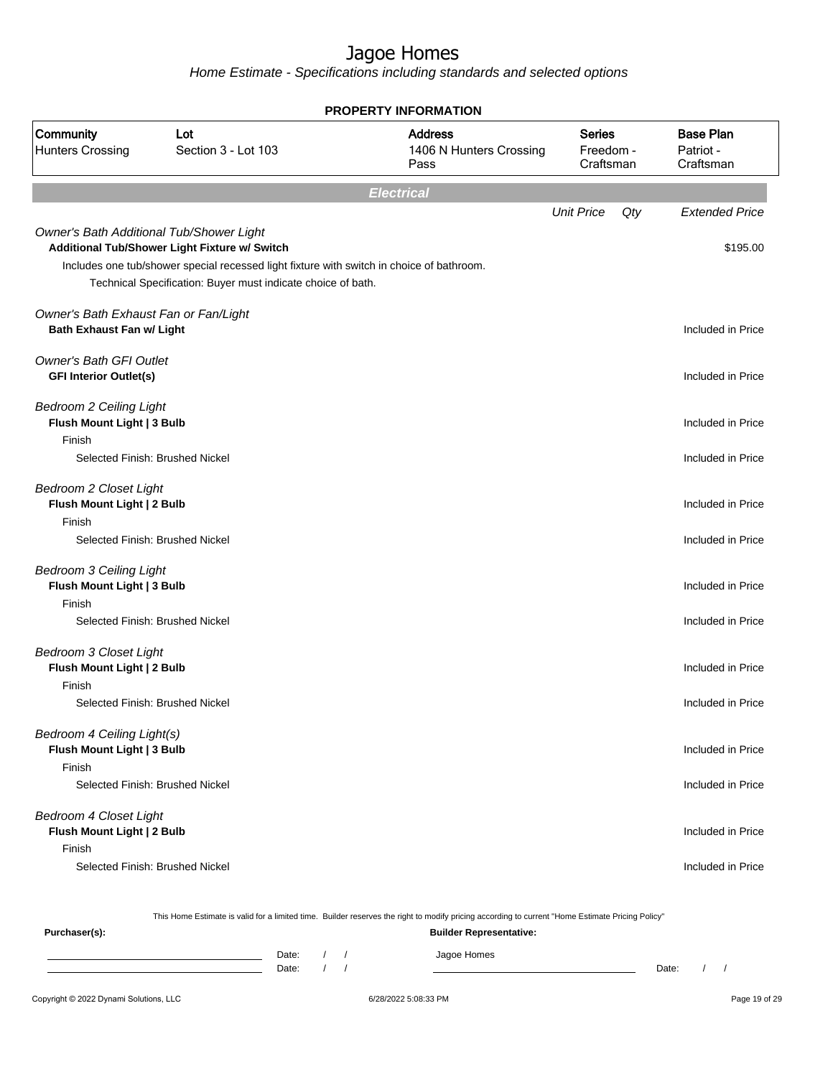Home Estimate - Specifications including standards and selected options

|                                                                           |                                                                                                                                                                                                            | <b>PROPERTY INFORMATION</b>                       |                                         |     |                                            |
|---------------------------------------------------------------------------|------------------------------------------------------------------------------------------------------------------------------------------------------------------------------------------------------------|---------------------------------------------------|-----------------------------------------|-----|--------------------------------------------|
| Community<br><b>Hunters Crossing</b>                                      | Lot<br>Section 3 - Lot 103                                                                                                                                                                                 | <b>Address</b><br>1406 N Hunters Crossing<br>Pass | <b>Series</b><br>Freedom -<br>Craftsman |     | <b>Base Plan</b><br>Patriot -<br>Craftsman |
|                                                                           |                                                                                                                                                                                                            | <b>Electrical</b>                                 |                                         |     |                                            |
|                                                                           |                                                                                                                                                                                                            |                                                   | <b>Unit Price</b>                       | Qty | <b>Extended Price</b>                      |
| Owner's Bath Additional Tub/Shower Light                                  | Additional Tub/Shower Light Fixture w/ Switch<br>Includes one tub/shower special recessed light fixture with switch in choice of bathroom.<br>Technical Specification: Buyer must indicate choice of bath. |                                                   |                                         |     | \$195.00                                   |
| Owner's Bath Exhaust Fan or Fan/Light<br><b>Bath Exhaust Fan w/ Light</b> |                                                                                                                                                                                                            |                                                   |                                         |     | Included in Price                          |
| <b>Owner's Bath GFI Outlet</b><br><b>GFI Interior Outlet(s)</b>           |                                                                                                                                                                                                            |                                                   |                                         |     | Included in Price                          |
| <b>Bedroom 2 Ceiling Light</b><br>Flush Mount Light   3 Bulb<br>Finish    |                                                                                                                                                                                                            |                                                   |                                         |     | Included in Price                          |
| Selected Finish: Brushed Nickel                                           |                                                                                                                                                                                                            |                                                   |                                         |     | Included in Price                          |
| <b>Bedroom 2 Closet Light</b><br>Flush Mount Light   2 Bulb<br>Finish     |                                                                                                                                                                                                            |                                                   |                                         |     | Included in Price                          |
| Selected Finish: Brushed Nickel                                           |                                                                                                                                                                                                            |                                                   |                                         |     | Included in Price                          |
| <b>Bedroom 3 Ceiling Light</b><br>Flush Mount Light   3 Bulb<br>Finish    |                                                                                                                                                                                                            |                                                   |                                         |     | Included in Price                          |
| Selected Finish: Brushed Nickel                                           |                                                                                                                                                                                                            |                                                   |                                         |     | Included in Price                          |
| <b>Bedroom 3 Closet Light</b><br>Flush Mount Light   2 Bulb<br>Finish     |                                                                                                                                                                                                            |                                                   |                                         |     | Included in Price                          |
| Selected Finish: Brushed Nickel                                           |                                                                                                                                                                                                            |                                                   |                                         |     | Included in Price                          |
| Bedroom 4 Ceiling Light(s)<br>Flush Mount Light   3 Bulb<br>Finish        |                                                                                                                                                                                                            |                                                   |                                         |     | Included in Price                          |
| Selected Finish: Brushed Nickel                                           |                                                                                                                                                                                                            |                                                   |                                         |     | Included in Price                          |
| <b>Bedroom 4 Closet Light</b><br>Flush Mount Light   2 Bulb<br>Finish     |                                                                                                                                                                                                            |                                                   |                                         |     | Included in Price                          |
| Selected Finish: Brushed Nickel                                           |                                                                                                                                                                                                            |                                                   |                                         |     | Included in Price                          |

This Home Estimate is valid for a limited time. Builder reserves the right to modify pricing according to current "Home Estimate Pricing Policy"

**Purchaser(s): Builder Representative:** Date: / / Jagoe Homes<br>Date: / / Jagoe Homes Date: / / Date: / /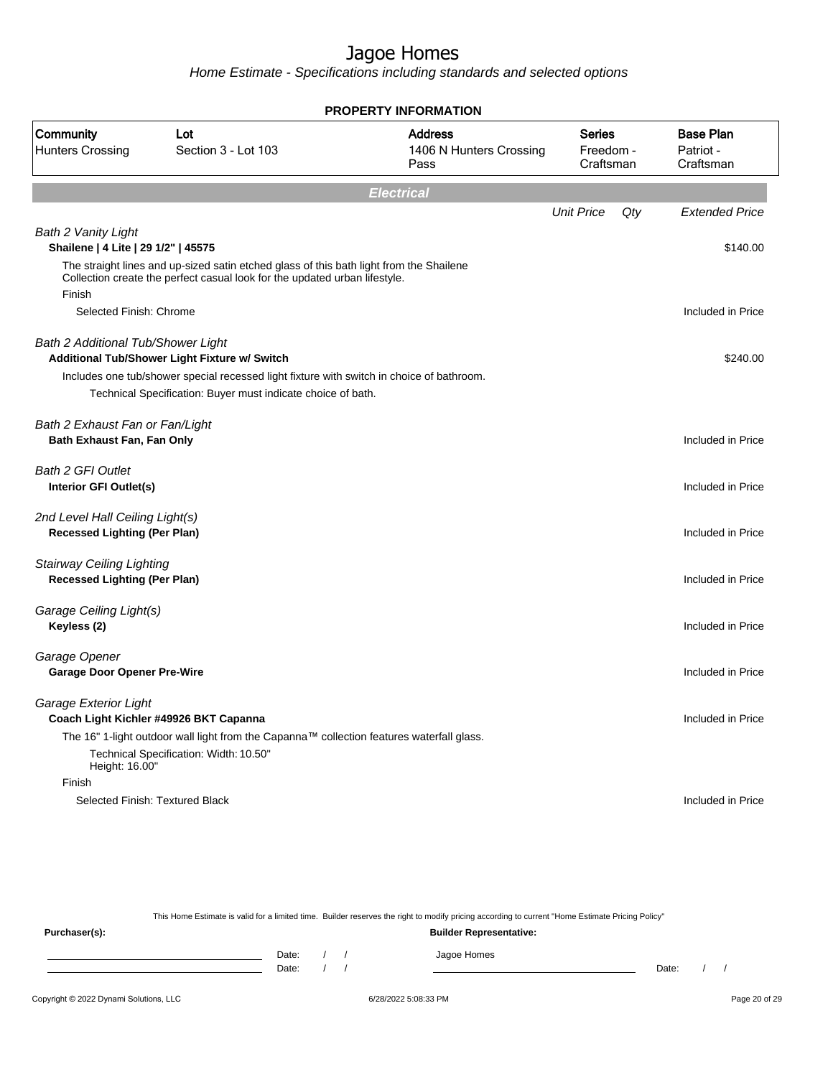Home Estimate - Specifications including standards and selected options

|                                                                         |                                                                                                                                                                       | <b>PROPERTY INFORMATION</b>                       |                                         |     |                                            |
|-------------------------------------------------------------------------|-----------------------------------------------------------------------------------------------------------------------------------------------------------------------|---------------------------------------------------|-----------------------------------------|-----|--------------------------------------------|
| Community<br>Lot<br><b>Hunters Crossing</b><br>Section 3 - Lot 103      |                                                                                                                                                                       | <b>Address</b><br>1406 N Hunters Crossing<br>Pass | <b>Series</b><br>Freedom -<br>Craftsman |     | <b>Base Plan</b><br>Patriot -<br>Craftsman |
|                                                                         |                                                                                                                                                                       | <b>Electrical</b>                                 |                                         |     |                                            |
|                                                                         |                                                                                                                                                                       |                                                   | <b>Unit Price</b>                       | Qty | <b>Extended Price</b>                      |
| <b>Bath 2 Vanity Light</b><br>Shailene   4 Lite   29 1/2"   45575       |                                                                                                                                                                       |                                                   |                                         |     | \$140.00                                   |
| Finish                                                                  | The straight lines and up-sized satin etched glass of this bath light from the Shailene<br>Collection create the perfect casual look for the updated urban lifestyle. |                                                   |                                         |     |                                            |
| Selected Finish: Chrome                                                 |                                                                                                                                                                       |                                                   |                                         |     | Included in Price                          |
| <b>Bath 2 Additional Tub/Shower Light</b>                               | Additional Tub/Shower Light Fixture w/ Switch                                                                                                                         |                                                   |                                         |     | \$240.00                                   |
|                                                                         | Includes one tub/shower special recessed light fixture with switch in choice of bathroom.                                                                             |                                                   |                                         |     |                                            |
|                                                                         | Technical Specification: Buyer must indicate choice of bath.                                                                                                          |                                                   |                                         |     |                                            |
| Bath 2 Exhaust Fan or Fan/Light<br>Bath Exhaust Fan, Fan Only           |                                                                                                                                                                       |                                                   |                                         |     | Included in Price                          |
| <b>Bath 2 GFI Outlet</b><br>Interior GFI Outlet(s)                      |                                                                                                                                                                       |                                                   |                                         |     | Included in Price                          |
| 2nd Level Hall Ceiling Light(s)<br><b>Recessed Lighting (Per Plan)</b>  |                                                                                                                                                                       |                                                   |                                         |     | Included in Price                          |
| <b>Stairway Ceiling Lighting</b><br><b>Recessed Lighting (Per Plan)</b> |                                                                                                                                                                       |                                                   |                                         |     | Included in Price                          |
| Garage Ceiling Light(s)<br>Keyless (2)                                  |                                                                                                                                                                       |                                                   |                                         |     | Included in Price                          |
| Garage Opener<br><b>Garage Door Opener Pre-Wire</b>                     |                                                                                                                                                                       |                                                   |                                         |     | Included in Price                          |
| Garage Exterior Light                                                   | Coach Light Kichler #49926 BKT Capanna                                                                                                                                |                                                   |                                         |     | Included in Price                          |
| Height: 16.00"                                                          | The 16" 1-light outdoor wall light from the Capanna™ collection features waterfall glass.<br>Technical Specification: Width: 10.50"                                   |                                                   |                                         |     |                                            |
| Finish                                                                  |                                                                                                                                                                       |                                                   |                                         |     |                                            |
|                                                                         | Selected Finish: Textured Black                                                                                                                                       |                                                   |                                         |     | Included in Price                          |

This Home Estimate is valid for a limited time. Builder reserves the right to modify pricing according to current "Home Estimate Pricing Policy" **Purchaser(s): Builder Representative:**

Date: / / Jagoe Homes<br>Date: / / Jagoe Homes Date: / / Date: / /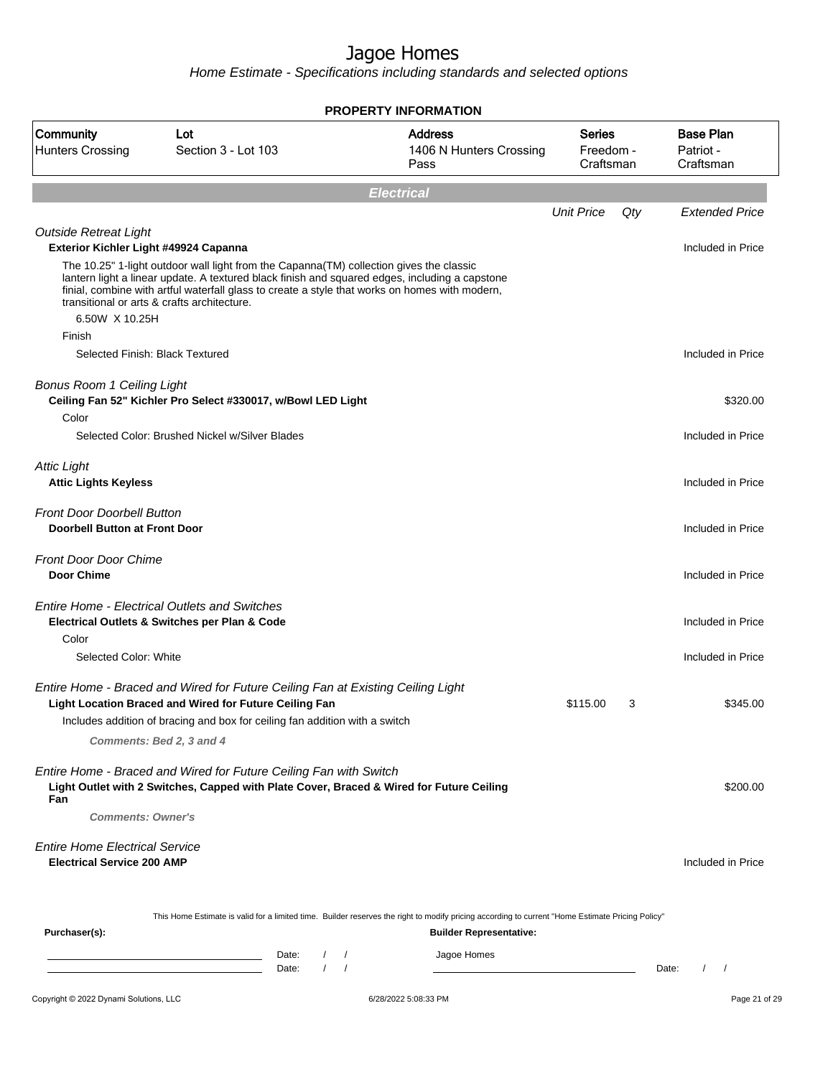|                                                                            |                                                                                                                                                                                                                                                                                                                                            | <b>PROPERTY INFORMATION</b>                                                                                                                      |                                         |     |                                            |
|----------------------------------------------------------------------------|--------------------------------------------------------------------------------------------------------------------------------------------------------------------------------------------------------------------------------------------------------------------------------------------------------------------------------------------|--------------------------------------------------------------------------------------------------------------------------------------------------|-----------------------------------------|-----|--------------------------------------------|
| Community<br><b>Hunters Crossing</b>                                       | Lot<br>Section 3 - Lot 103                                                                                                                                                                                                                                                                                                                 | <b>Address</b><br>1406 N Hunters Crossing<br>Pass                                                                                                | <b>Series</b><br>Freedom -<br>Craftsman |     | <b>Base Plan</b><br>Patriot -<br>Craftsman |
|                                                                            |                                                                                                                                                                                                                                                                                                                                            | <b>Electrical</b>                                                                                                                                |                                         |     |                                            |
|                                                                            |                                                                                                                                                                                                                                                                                                                                            |                                                                                                                                                  | <b>Unit Price</b>                       | Qty | <b>Extended Price</b>                      |
| <b>Outside Retreat Light</b><br>Exterior Kichler Light #49924 Capanna      |                                                                                                                                                                                                                                                                                                                                            |                                                                                                                                                  |                                         |     | Included in Price                          |
|                                                                            | The 10.25" 1-light outdoor wall light from the Capanna(TM) collection gives the classic<br>lantern light a linear update. A textured black finish and squared edges, including a capstone<br>finial, combine with artful waterfall glass to create a style that works on homes with modern,<br>transitional or arts & crafts architecture. |                                                                                                                                                  |                                         |     |                                            |
| 6.50W X 10.25H                                                             |                                                                                                                                                                                                                                                                                                                                            |                                                                                                                                                  |                                         |     |                                            |
| Finish                                                                     |                                                                                                                                                                                                                                                                                                                                            |                                                                                                                                                  |                                         |     |                                            |
| Selected Finish: Black Textured                                            |                                                                                                                                                                                                                                                                                                                                            |                                                                                                                                                  |                                         |     | Included in Price                          |
| <b>Bonus Room 1 Ceiling Light</b>                                          | Ceiling Fan 52" Kichler Pro Select #330017, w/Bowl LED Light                                                                                                                                                                                                                                                                               |                                                                                                                                                  |                                         |     | \$320.00                                   |
| Color                                                                      |                                                                                                                                                                                                                                                                                                                                            |                                                                                                                                                  |                                         |     |                                            |
|                                                                            | Selected Color: Brushed Nickel w/Silver Blades                                                                                                                                                                                                                                                                                             |                                                                                                                                                  |                                         |     | Included in Price                          |
| <b>Attic Light</b><br><b>Attic Lights Keyless</b>                          |                                                                                                                                                                                                                                                                                                                                            |                                                                                                                                                  |                                         |     | Included in Price                          |
| <b>Front Door Doorbell Button</b><br>Doorbell Button at Front Door         |                                                                                                                                                                                                                                                                                                                                            |                                                                                                                                                  |                                         |     | Included in Price                          |
| <b>Front Door Door Chime</b><br><b>Door Chime</b>                          |                                                                                                                                                                                                                                                                                                                                            |                                                                                                                                                  |                                         |     | Included in Price                          |
|                                                                            | <b>Entire Home - Electrical Outlets and Switches</b><br>Electrical Outlets & Switches per Plan & Code                                                                                                                                                                                                                                      |                                                                                                                                                  |                                         |     | Included in Price                          |
| Color                                                                      |                                                                                                                                                                                                                                                                                                                                            |                                                                                                                                                  |                                         |     |                                            |
| Selected Color: White                                                      |                                                                                                                                                                                                                                                                                                                                            |                                                                                                                                                  |                                         |     | Included in Price                          |
|                                                                            | Entire Home - Braced and Wired for Future Ceiling Fan at Existing Ceiling Light<br>Light Location Braced and Wired for Future Ceiling Fan                                                                                                                                                                                                  |                                                                                                                                                  | \$115.00                                | 3   | \$345.00                                   |
|                                                                            | Includes addition of bracing and box for ceiling fan addition with a switch                                                                                                                                                                                                                                                                |                                                                                                                                                  |                                         |     |                                            |
|                                                                            | Comments: Bed 2, 3 and 4                                                                                                                                                                                                                                                                                                                   |                                                                                                                                                  |                                         |     |                                            |
| Fan                                                                        | Entire Home - Braced and Wired for Future Ceiling Fan with Switch<br>Light Outlet with 2 Switches, Capped with Plate Cover, Braced & Wired for Future Ceiling                                                                                                                                                                              |                                                                                                                                                  |                                         |     | \$200.00                                   |
| <b>Comments: Owner's</b>                                                   |                                                                                                                                                                                                                                                                                                                                            |                                                                                                                                                  |                                         |     |                                            |
| <b>Entire Home Electrical Service</b><br><b>Electrical Service 200 AMP</b> |                                                                                                                                                                                                                                                                                                                                            |                                                                                                                                                  |                                         |     | Included in Price                          |
|                                                                            |                                                                                                                                                                                                                                                                                                                                            | This Home Estimate is valid for a limited time. Builder reserves the right to modify pricing according to current "Home Estimate Pricing Policy" |                                         |     |                                            |
| Purchaser(s):                                                              |                                                                                                                                                                                                                                                                                                                                            | <b>Builder Representative:</b>                                                                                                                   |                                         |     |                                            |
|                                                                            | Date:<br>$\prime$<br>Date:<br>$\prime$                                                                                                                                                                                                                                                                                                     | Jagoe Homes<br>$\sqrt{2}$<br>$\prime$                                                                                                            |                                         |     | Date:<br>$\frac{1}{2}$                     |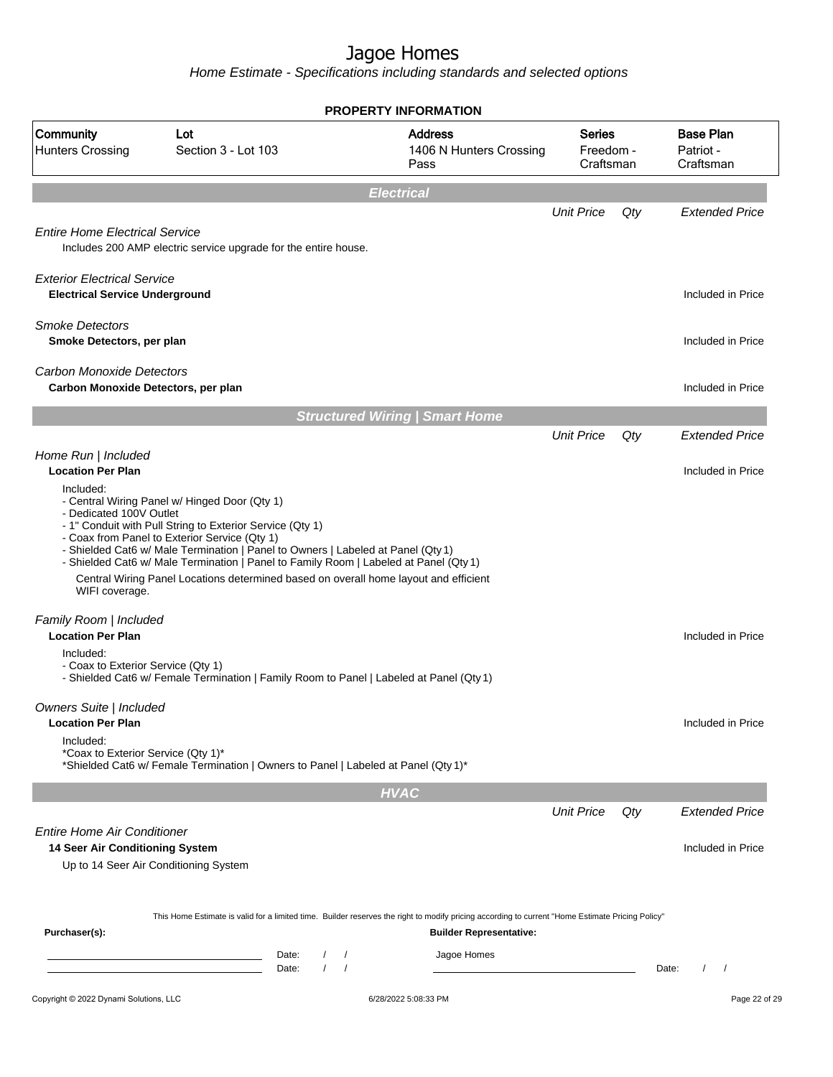|                                                                             |                                                                                                                                                                                                                                                                                                                                                                                                                                  | <b>PROPERTY INFORMATION</b>                                                                                                                                                        |                                         |       |                                            |
|-----------------------------------------------------------------------------|----------------------------------------------------------------------------------------------------------------------------------------------------------------------------------------------------------------------------------------------------------------------------------------------------------------------------------------------------------------------------------------------------------------------------------|------------------------------------------------------------------------------------------------------------------------------------------------------------------------------------|-----------------------------------------|-------|--------------------------------------------|
| Community<br><b>Hunters Crossing</b>                                        | Lot<br>Section 3 - Lot 103                                                                                                                                                                                                                                                                                                                                                                                                       | <b>Address</b><br>1406 N Hunters Crossing<br>Pass                                                                                                                                  | <b>Series</b><br>Freedom -<br>Craftsman |       | <b>Base Plan</b><br>Patriot -<br>Craftsman |
|                                                                             |                                                                                                                                                                                                                                                                                                                                                                                                                                  | <b>Electrical</b>                                                                                                                                                                  |                                         |       |                                            |
|                                                                             |                                                                                                                                                                                                                                                                                                                                                                                                                                  |                                                                                                                                                                                    | <b>Unit Price</b>                       | Qty   | <b>Extended Price</b>                      |
| <b>Entire Home Electrical Service</b>                                       | Includes 200 AMP electric service upgrade for the entire house.                                                                                                                                                                                                                                                                                                                                                                  |                                                                                                                                                                                    |                                         |       |                                            |
| <b>Exterior Electrical Service</b><br><b>Electrical Service Underground</b> |                                                                                                                                                                                                                                                                                                                                                                                                                                  |                                                                                                                                                                                    |                                         |       | Included in Price                          |
| <b>Smoke Detectors</b><br>Smoke Detectors, per plan                         |                                                                                                                                                                                                                                                                                                                                                                                                                                  |                                                                                                                                                                                    |                                         |       | Included in Price                          |
| <b>Carbon Monoxide Detectors</b><br>Carbon Monoxide Detectors, per plan     |                                                                                                                                                                                                                                                                                                                                                                                                                                  |                                                                                                                                                                                    |                                         |       | Included in Price                          |
|                                                                             |                                                                                                                                                                                                                                                                                                                                                                                                                                  | <b>Structured Wiring   Smart Home</b>                                                                                                                                              |                                         |       |                                            |
|                                                                             |                                                                                                                                                                                                                                                                                                                                                                                                                                  |                                                                                                                                                                                    | <b>Unit Price</b>                       | Qty   | <b>Extended Price</b>                      |
| Home Run   Included<br><b>Location Per Plan</b>                             |                                                                                                                                                                                                                                                                                                                                                                                                                                  |                                                                                                                                                                                    |                                         |       | Included in Price                          |
| - Dedicated 100V Outlet<br>WIFI coverage.                                   | - Central Wiring Panel w/ Hinged Door (Qty 1)<br>- 1" Conduit with Pull String to Exterior Service (Qty 1)<br>- Coax from Panel to Exterior Service (Qty 1)<br>- Shielded Cat6 w/ Male Termination   Panel to Owners   Labeled at Panel (Qty 1)<br>- Shielded Cat6 w/ Male Termination   Panel to Family Room   Labeled at Panel (Qty 1)<br>Central Wiring Panel Locations determined based on overall home layout and efficient |                                                                                                                                                                                    |                                         |       |                                            |
| Family Room   Included<br><b>Location Per Plan</b>                          |                                                                                                                                                                                                                                                                                                                                                                                                                                  |                                                                                                                                                                                    |                                         |       | Included in Price                          |
| Included:<br>- Coax to Exterior Service (Qty 1)                             | - Shielded Cat6 w/ Female Termination   Family Room to Panel   Labeled at Panel (Qty 1)                                                                                                                                                                                                                                                                                                                                          |                                                                                                                                                                                    |                                         |       |                                            |
| Owners Suite   Included<br><b>Location Per Plan</b>                         |                                                                                                                                                                                                                                                                                                                                                                                                                                  |                                                                                                                                                                                    |                                         |       | Included in Price                          |
| Included:<br>*Coax to Exterior Service (Qty 1)*                             | *Shielded Cat6 w/ Female Termination   Owners to Panel   Labeled at Panel (Qty 1)*                                                                                                                                                                                                                                                                                                                                               |                                                                                                                                                                                    |                                         |       |                                            |
|                                                                             |                                                                                                                                                                                                                                                                                                                                                                                                                                  | <b>HVAC</b>                                                                                                                                                                        |                                         |       |                                            |
|                                                                             |                                                                                                                                                                                                                                                                                                                                                                                                                                  |                                                                                                                                                                                    | <b>Unit Price</b>                       | Qty   | <b>Extended Price</b>                      |
| Entire Home Air Conditioner<br>14 Seer Air Conditioning System              |                                                                                                                                                                                                                                                                                                                                                                                                                                  |                                                                                                                                                                                    |                                         |       | Included in Price                          |
|                                                                             | Up to 14 Seer Air Conditioning System                                                                                                                                                                                                                                                                                                                                                                                            |                                                                                                                                                                                    |                                         |       |                                            |
| Purchaser(s):                                                               |                                                                                                                                                                                                                                                                                                                                                                                                                                  | This Home Estimate is valid for a limited time. Builder reserves the right to modify pricing according to current "Home Estimate Pricing Policy"<br><b>Builder Representative:</b> |                                         |       |                                            |
|                                                                             | Date:<br>the control of the control of the control of the<br>$\prime$<br>Date:                                                                                                                                                                                                                                                                                                                                                   | Jagoe Homes<br>$\sqrt{ }$<br>$\prime$                                                                                                                                              |                                         | Date: | $\prime$<br>$\prime$                       |
| Copyright © 2022 Dynami Solutions, LLC                                      |                                                                                                                                                                                                                                                                                                                                                                                                                                  | 6/28/2022 5:08:33 PM                                                                                                                                                               |                                         |       | Page 22 of 29                              |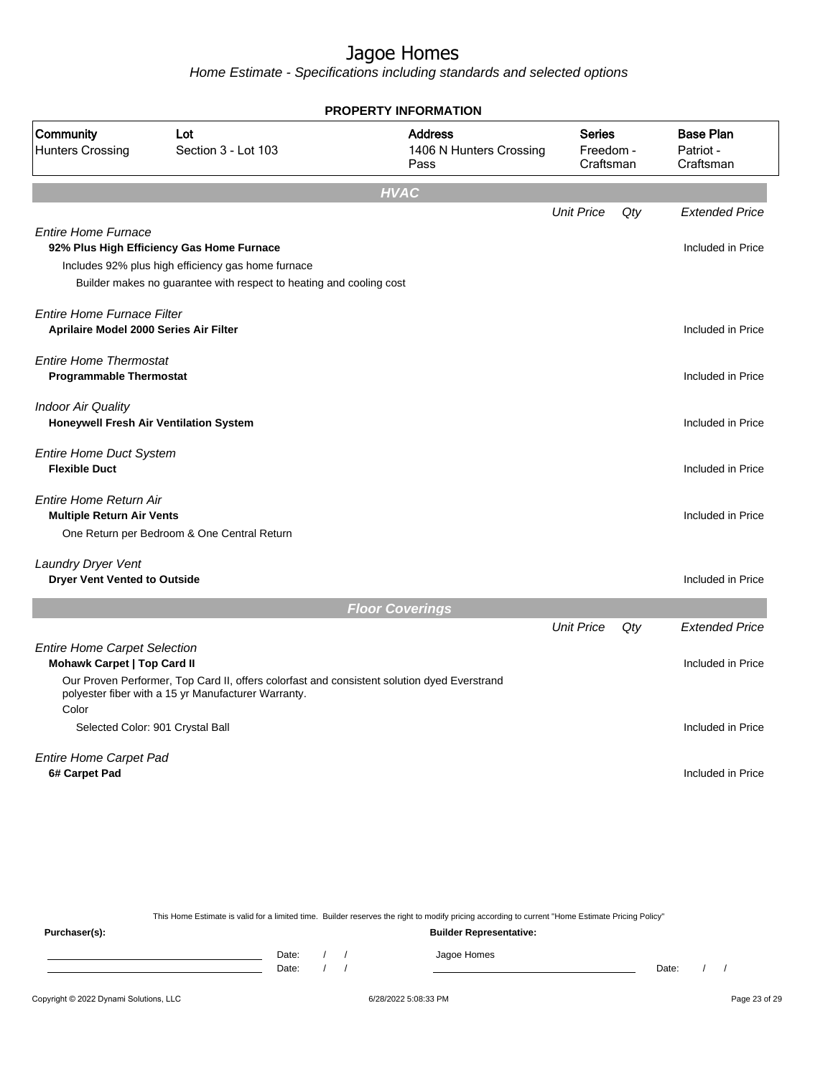Home Estimate - Specifications including standards and selected options

|                                                                             |                                                                                                                                                                        | <b>PROPERTY INFORMATION</b>                       |                                         |     |                                            |
|-----------------------------------------------------------------------------|------------------------------------------------------------------------------------------------------------------------------------------------------------------------|---------------------------------------------------|-----------------------------------------|-----|--------------------------------------------|
| Community<br><b>Hunters Crossing</b>                                        | Lot<br>Section 3 - Lot 103                                                                                                                                             | <b>Address</b><br>1406 N Hunters Crossing<br>Pass | <b>Series</b><br>Freedom -<br>Craftsman |     | <b>Base Plan</b><br>Patriot -<br>Craftsman |
|                                                                             |                                                                                                                                                                        | <b>HVAC</b>                                       |                                         |     |                                            |
|                                                                             |                                                                                                                                                                        |                                                   | <b>Unit Price</b>                       | Qty | <b>Extended Price</b>                      |
| <b>Entire Home Furnace</b>                                                  | 92% Plus High Efficiency Gas Home Furnace<br>Includes 92% plus high efficiency gas home furnace<br>Builder makes no guarantee with respect to heating and cooling cost |                                                   |                                         |     | Included in Price                          |
| <b>Entire Home Furnace Filter</b><br>Aprilaire Model 2000 Series Air Filter |                                                                                                                                                                        |                                                   |                                         |     | Included in Price                          |
| <b>Entire Home Thermostat</b><br><b>Programmable Thermostat</b>             |                                                                                                                                                                        |                                                   |                                         |     | Included in Price                          |
| <b>Indoor Air Quality</b>                                                   | Honeywell Fresh Air Ventilation System                                                                                                                                 |                                                   |                                         |     | Included in Price                          |
| <b>Entire Home Duct System</b><br><b>Flexible Duct</b>                      |                                                                                                                                                                        |                                                   |                                         |     | Included in Price                          |
| <b>Entire Home Return Air</b><br><b>Multiple Return Air Vents</b>           | One Return per Bedroom & One Central Return                                                                                                                            |                                                   |                                         |     | Included in Price                          |
| Laundry Dryer Vent<br><b>Dryer Vent Vented to Outside</b>                   |                                                                                                                                                                        |                                                   |                                         |     | Included in Price                          |
|                                                                             |                                                                                                                                                                        | <b>Floor Coverings</b>                            |                                         |     |                                            |
|                                                                             |                                                                                                                                                                        |                                                   | <b>Unit Price</b>                       | Qty | <b>Extended Price</b>                      |
| <b>Entire Home Carpet Selection</b><br><b>Mohawk Carpet   Top Card II</b>   |                                                                                                                                                                        |                                                   |                                         |     | Included in Price                          |
| Color                                                                       | Our Proven Performer, Top Card II, offers colorfast and consistent solution dyed Everstrand<br>polyester fiber with a 15 yr Manufacturer Warranty.                     |                                                   |                                         |     |                                            |
|                                                                             | Selected Color: 901 Crystal Ball                                                                                                                                       |                                                   |                                         |     | Included in Price                          |
| Entire Home Carpet Pad<br>6# Carpet Pad                                     |                                                                                                                                                                        |                                                   |                                         |     | Included in Price                          |
|                                                                             |                                                                                                                                                                        |                                                   |                                         |     |                                            |

This Home Estimate is valid for a limited time. Builder reserves the right to modify pricing according to current "Home Estimate Pricing Policy" **Purchaser(s): Builder Representative:** Date: / / Jagoe Homes<br>Date: / / Jagoe Homes Date: / / Date: / /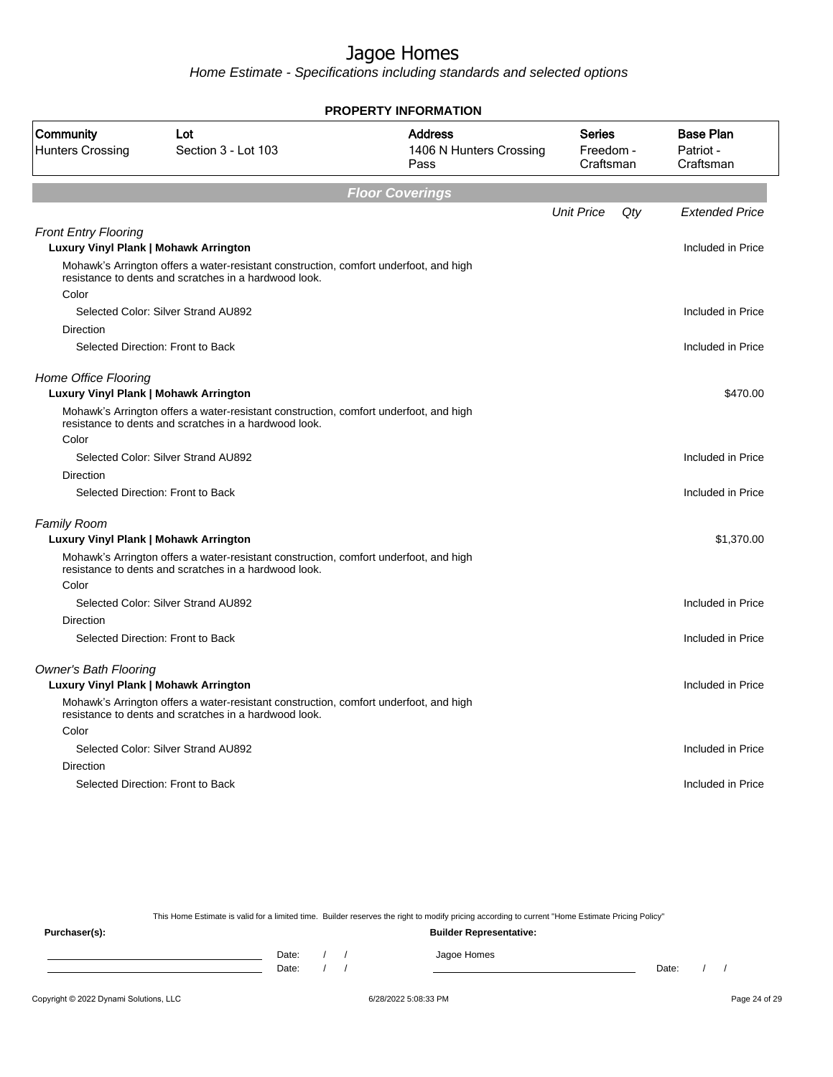Home Estimate - Specifications including standards and selected options

|                                                                      |                                                                                                                                                | <b>PROPERTY INFORMATION</b>                       |                                  |     |                                            |
|----------------------------------------------------------------------|------------------------------------------------------------------------------------------------------------------------------------------------|---------------------------------------------------|----------------------------------|-----|--------------------------------------------|
| Community<br><b>Hunters Crossing</b>                                 | Lot<br>Section 3 - Lot 103                                                                                                                     | <b>Address</b><br>1406 N Hunters Crossing<br>Pass | Series<br>Freedom -<br>Craftsman |     | <b>Base Plan</b><br>Patriot -<br>Craftsman |
|                                                                      |                                                                                                                                                | <b>Floor Coverings</b>                            |                                  |     |                                            |
|                                                                      |                                                                                                                                                |                                                   | <b>Unit Price</b>                | Qty | <b>Extended Price</b>                      |
| <b>Front Entry Flooring</b><br>Luxury Vinyl Plank   Mohawk Arrington |                                                                                                                                                |                                                   |                                  |     | Included in Price                          |
|                                                                      | Mohawk's Arrington offers a water-resistant construction, comfort underfoot, and high<br>resistance to dents and scratches in a hardwood look. |                                                   |                                  |     |                                            |
| Color                                                                |                                                                                                                                                |                                                   |                                  |     |                                            |
|                                                                      | Selected Color: Silver Strand AU892                                                                                                            |                                                   |                                  |     | Included in Price                          |
| Direction                                                            |                                                                                                                                                |                                                   |                                  |     |                                            |
|                                                                      | Selected Direction: Front to Back                                                                                                              |                                                   |                                  |     | Included in Price                          |
| Home Office Flooring<br>Luxury Vinyl Plank   Mohawk Arrington        |                                                                                                                                                |                                                   |                                  |     | \$470.00                                   |
|                                                                      | Mohawk's Arrington offers a water-resistant construction, comfort underfoot, and high<br>resistance to dents and scratches in a hardwood look. |                                                   |                                  |     |                                            |
| Color                                                                |                                                                                                                                                |                                                   |                                  |     |                                            |
|                                                                      | Selected Color: Silver Strand AU892                                                                                                            |                                                   |                                  |     | Included in Price                          |
| Direction                                                            |                                                                                                                                                |                                                   |                                  |     |                                            |
|                                                                      | Selected Direction: Front to Back                                                                                                              |                                                   |                                  |     | Included in Price                          |
| <b>Family Room</b>                                                   |                                                                                                                                                |                                                   |                                  |     |                                            |
| Luxury Vinyl Plank   Mohawk Arrington                                |                                                                                                                                                |                                                   |                                  |     | \$1,370.00                                 |
|                                                                      | Mohawk's Arrington offers a water-resistant construction, comfort underfoot, and high<br>resistance to dents and scratches in a hardwood look. |                                                   |                                  |     |                                            |
| Color                                                                |                                                                                                                                                |                                                   |                                  |     |                                            |
|                                                                      | Selected Color: Silver Strand AU892                                                                                                            |                                                   |                                  |     | Included in Price                          |
| <b>Direction</b>                                                     |                                                                                                                                                |                                                   |                                  |     |                                            |
|                                                                      | Selected Direction: Front to Back                                                                                                              |                                                   |                                  |     | Included in Price                          |
| <b>Owner's Bath Flooring</b>                                         |                                                                                                                                                |                                                   |                                  |     |                                            |
| Luxury Vinyl Plank   Mohawk Arrington                                |                                                                                                                                                |                                                   |                                  |     | Included in Price                          |
|                                                                      | Mohawk's Arrington offers a water-resistant construction, comfort underfoot, and high<br>resistance to dents and scratches in a hardwood look. |                                                   |                                  |     |                                            |
| Color                                                                |                                                                                                                                                |                                                   |                                  |     |                                            |
|                                                                      | Selected Color: Silver Strand AU892                                                                                                            |                                                   |                                  |     | Included in Price                          |
| Direction                                                            |                                                                                                                                                |                                                   |                                  |     |                                            |
|                                                                      | Selected Direction: Front to Back                                                                                                              |                                                   |                                  |     | Included in Price                          |
|                                                                      |                                                                                                                                                |                                                   |                                  |     |                                            |

This Home Estimate is valid for a limited time. Builder reserves the right to modify pricing according to current "Home Estimate Pricing Policy"

**Purchaser(s): Builder Representative:** Date: / / Jagoe Homes<br>Date: / / Jagoe Homes Date: / / Date: / /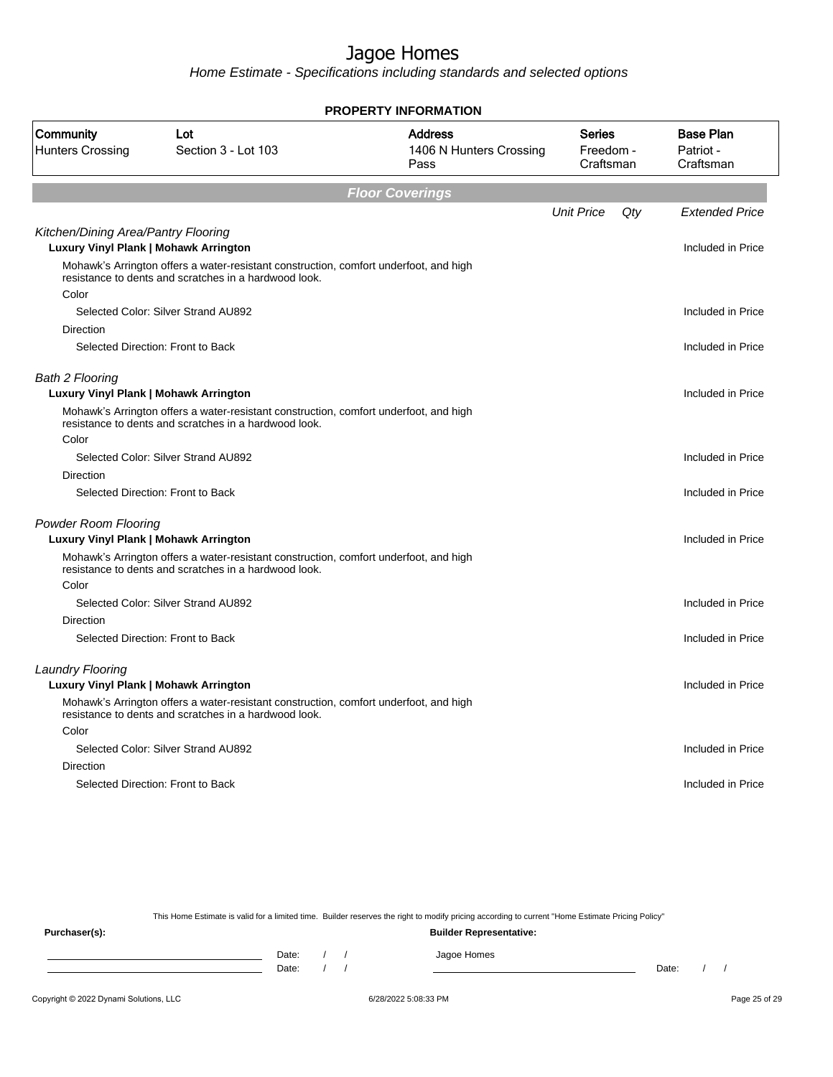Home Estimate - Specifications including standards and selected options

|                                                                                     |                                                                                                                                                | <b>PROPERTY INFORMATION</b>                       |                                  |     |                                            |
|-------------------------------------------------------------------------------------|------------------------------------------------------------------------------------------------------------------------------------------------|---------------------------------------------------|----------------------------------|-----|--------------------------------------------|
| Community<br><b>Hunters Crossing</b>                                                | Lot<br>Section 3 - Lot 103                                                                                                                     | <b>Address</b><br>1406 N Hunters Crossing<br>Pass | Series<br>Freedom -<br>Craftsman |     | <b>Base Plan</b><br>Patriot -<br>Craftsman |
|                                                                                     |                                                                                                                                                | <b>Floor Coverings</b>                            |                                  |     |                                            |
|                                                                                     |                                                                                                                                                |                                                   | <b>Unit Price</b>                | Qty | <b>Extended Price</b>                      |
| Kitchen/Dining Area/Pantry Flooring<br><b>Luxury Vinyl Plank   Mohawk Arrington</b> |                                                                                                                                                |                                                   |                                  |     | Included in Price                          |
| Color                                                                               | Mohawk's Arrington offers a water-resistant construction, comfort underfoot, and high<br>resistance to dents and scratches in a hardwood look. |                                                   |                                  |     |                                            |
|                                                                                     | Selected Color: Silver Strand AU892                                                                                                            |                                                   |                                  |     | Included in Price                          |
| Direction                                                                           |                                                                                                                                                |                                                   |                                  |     |                                            |
|                                                                                     | Selected Direction: Front to Back                                                                                                              |                                                   |                                  |     | Included in Price                          |
| <b>Bath 2 Flooring</b><br>Luxury Vinyl Plank   Mohawk Arrington                     |                                                                                                                                                |                                                   |                                  |     | Included in Price                          |
|                                                                                     | Mohawk's Arrington offers a water-resistant construction, comfort underfoot, and high<br>resistance to dents and scratches in a hardwood look. |                                                   |                                  |     |                                            |
| Color                                                                               |                                                                                                                                                |                                                   |                                  |     |                                            |
|                                                                                     | Selected Color: Silver Strand AU892                                                                                                            |                                                   |                                  |     | Included in Price                          |
| <b>Direction</b>                                                                    |                                                                                                                                                |                                                   |                                  |     |                                            |
|                                                                                     | Selected Direction: Front to Back                                                                                                              |                                                   |                                  |     | Included in Price                          |
| <b>Powder Room Flooring</b><br>Luxury Vinyl Plank   Mohawk Arrington                |                                                                                                                                                |                                                   |                                  |     | Included in Price                          |
|                                                                                     | Mohawk's Arrington offers a water-resistant construction, comfort underfoot, and high<br>resistance to dents and scratches in a hardwood look. |                                                   |                                  |     |                                            |
| Color                                                                               |                                                                                                                                                |                                                   |                                  |     |                                            |
|                                                                                     | Selected Color: Silver Strand AU892                                                                                                            |                                                   |                                  |     | Included in Price                          |
| Direction                                                                           |                                                                                                                                                |                                                   |                                  |     |                                            |
|                                                                                     | Selected Direction: Front to Back                                                                                                              |                                                   |                                  |     | Included in Price                          |
| <b>Laundry Flooring</b>                                                             |                                                                                                                                                |                                                   |                                  |     |                                            |
| Luxury Vinyl Plank   Mohawk Arrington                                               |                                                                                                                                                |                                                   |                                  |     | Included in Price                          |
|                                                                                     | Mohawk's Arrington offers a water-resistant construction, comfort underfoot, and high<br>resistance to dents and scratches in a hardwood look. |                                                   |                                  |     |                                            |
| Color                                                                               |                                                                                                                                                |                                                   |                                  |     |                                            |
|                                                                                     | Selected Color: Silver Strand AU892                                                                                                            |                                                   |                                  |     | Included in Price                          |
| Direction                                                                           |                                                                                                                                                |                                                   |                                  |     |                                            |
|                                                                                     | Selected Direction: Front to Back                                                                                                              |                                                   |                                  |     | Included in Price                          |
|                                                                                     |                                                                                                                                                |                                                   |                                  |     |                                            |

This Home Estimate is valid for a limited time. Builder reserves the right to modify pricing according to current "Home Estimate Pricing Policy"

**Purchaser(s): Builder Representative:** Date: / / Jagoe Homes<br>Date: / / Jagoe Homes Date: / / **Date: / / 2006** Date: / / / Date: / / /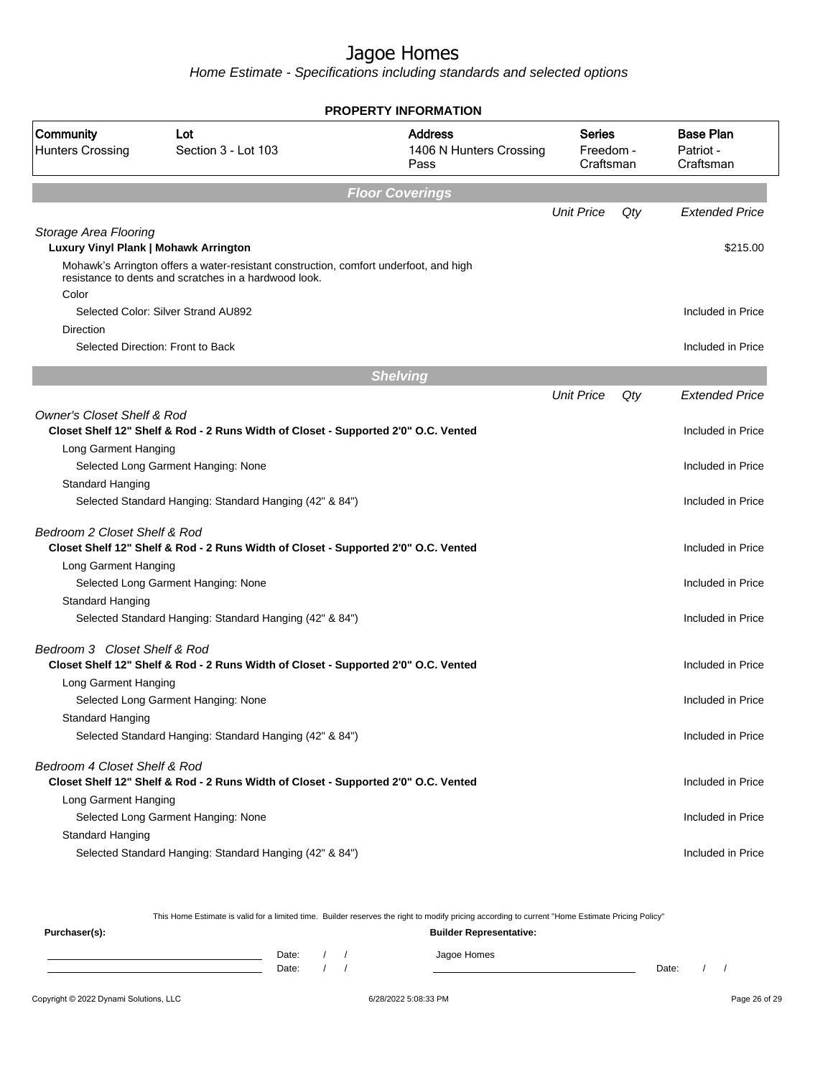Home Estimate - Specifications including standards and selected options

|                                       |                                                                                                                                                | <b>PROPERTY INFORMATION</b>                       |                                         |     |                                            |
|---------------------------------------|------------------------------------------------------------------------------------------------------------------------------------------------|---------------------------------------------------|-----------------------------------------|-----|--------------------------------------------|
| Community<br><b>Hunters Crossing</b>  | Lot<br>Section 3 - Lot 103                                                                                                                     | <b>Address</b><br>1406 N Hunters Crossing<br>Pass | <b>Series</b><br>Freedom -<br>Craftsman |     | <b>Base Plan</b><br>Patriot -<br>Craftsman |
|                                       |                                                                                                                                                | <b>Floor Coverings</b>                            |                                         |     |                                            |
|                                       |                                                                                                                                                |                                                   | <b>Unit Price</b>                       | Qty | <b>Extended Price</b>                      |
| Storage Area Flooring                 |                                                                                                                                                |                                                   |                                         |     |                                            |
| Luxury Vinyl Plank   Mohawk Arrington |                                                                                                                                                |                                                   |                                         |     | \$215.00                                   |
| Color                                 | Mohawk's Arrington offers a water-resistant construction, comfort underfoot, and high<br>resistance to dents and scratches in a hardwood look. |                                                   |                                         |     |                                            |
|                                       | Selected Color: Silver Strand AU892                                                                                                            |                                                   |                                         |     | Included in Price                          |
| Direction                             |                                                                                                                                                |                                                   |                                         |     |                                            |
|                                       | Selected Direction: Front to Back                                                                                                              |                                                   |                                         |     | Included in Price                          |
|                                       |                                                                                                                                                | <b>Shelving</b>                                   |                                         |     |                                            |
|                                       |                                                                                                                                                |                                                   | <b>Unit Price</b>                       | Qty | <b>Extended Price</b>                      |
| <b>Owner's Closet Shelf &amp; Rod</b> |                                                                                                                                                |                                                   |                                         |     |                                            |
|                                       | Closet Shelf 12" Shelf & Rod - 2 Runs Width of Closet - Supported 2'0" O.C. Vented                                                             |                                                   |                                         |     | Included in Price                          |
| Long Garment Hanging                  |                                                                                                                                                |                                                   |                                         |     |                                            |
|                                       | Selected Long Garment Hanging: None                                                                                                            |                                                   |                                         |     | Included in Price                          |
| Standard Hanging                      |                                                                                                                                                |                                                   |                                         |     |                                            |
|                                       | Selected Standard Hanging: Standard Hanging (42" & 84")                                                                                        |                                                   |                                         |     | Included in Price                          |
| Bedroom 2 Closet Shelf & Rod          | Closet Shelf 12" Shelf & Rod - 2 Runs Width of Closet - Supported 2'0" O.C. Vented                                                             |                                                   |                                         |     | Included in Price                          |
| Long Garment Hanging                  |                                                                                                                                                |                                                   |                                         |     |                                            |
|                                       | Selected Long Garment Hanging: None                                                                                                            |                                                   |                                         |     | Included in Price                          |
| Standard Hanging                      |                                                                                                                                                |                                                   |                                         |     |                                            |
|                                       | Selected Standard Hanging: Standard Hanging (42" & 84")                                                                                        |                                                   |                                         |     | Included in Price                          |
| Bedroom 3 Closet Shelf & Rod          | Closet Shelf 12" Shelf & Rod - 2 Runs Width of Closet - Supported 2'0" O.C. Vented                                                             |                                                   |                                         |     | Included in Price                          |
| Long Garment Hanging                  |                                                                                                                                                |                                                   |                                         |     |                                            |
|                                       | Selected Long Garment Hanging: None                                                                                                            |                                                   |                                         |     | Included in Price                          |
| <b>Standard Hanging</b>               |                                                                                                                                                |                                                   |                                         |     |                                            |
|                                       | Selected Standard Hanging: Standard Hanging (42" & 84")                                                                                        |                                                   |                                         |     | Included in Price                          |
| Bedroom 4 Closet Shelf & Rod          | Closet Shelf 12" Shelf & Rod - 2 Runs Width of Closet - Supported 2'0" O.C. Vented                                                             |                                                   |                                         |     | Included in Price                          |
| Long Garment Hanging                  |                                                                                                                                                |                                                   |                                         |     |                                            |
|                                       | Selected Long Garment Hanging: None                                                                                                            |                                                   |                                         |     | Included in Price                          |
| Standard Hanging                      |                                                                                                                                                |                                                   |                                         |     |                                            |
|                                       | Selected Standard Hanging: Standard Hanging (42" & 84")                                                                                        |                                                   |                                         |     | Included in Price                          |

This Home Estimate is valid for a limited time. Builder reserves the right to modify pricing according to current "Home Estimate Pricing Policy"

| Purchaser(s): |                |  | <b>Builder Representative:</b> |       |  |  |
|---------------|----------------|--|--------------------------------|-------|--|--|
|               | Date:<br>Date: |  | Jagoe Homes                    | Date: |  |  |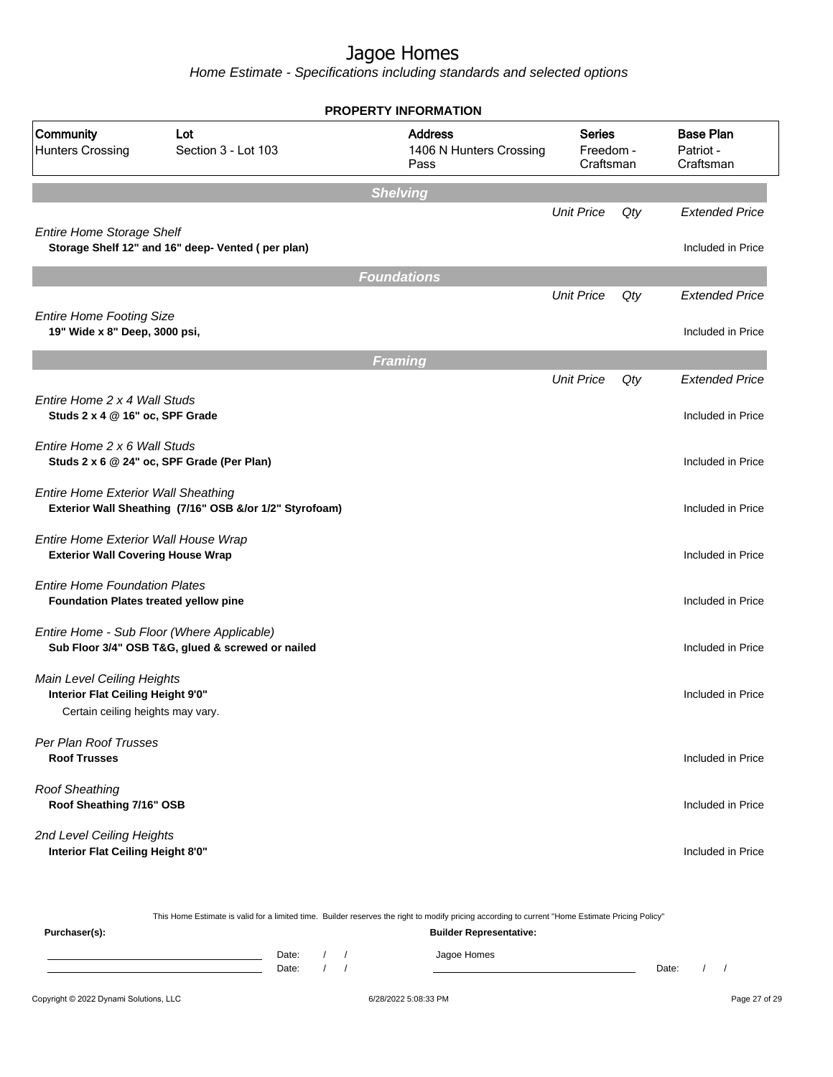|                                                                                  |                                                                                                 | <b>PROPERTY INFORMATION</b>                       |                                         |     |                                            |
|----------------------------------------------------------------------------------|-------------------------------------------------------------------------------------------------|---------------------------------------------------|-----------------------------------------|-----|--------------------------------------------|
| Community<br><b>Hunters Crossing</b>                                             | Lot<br>Section 3 - Lot 103                                                                      | <b>Address</b><br>1406 N Hunters Crossing<br>Pass | <b>Series</b><br>Freedom -<br>Craftsman |     | <b>Base Plan</b><br>Patriot -<br>Craftsman |
|                                                                                  |                                                                                                 | <b>Shelving</b>                                   |                                         |     |                                            |
| <b>Entire Home Storage Shelf</b>                                                 |                                                                                                 |                                                   | <b>Unit Price</b>                       | Qty | <b>Extended Price</b>                      |
|                                                                                  | Storage Shelf 12" and 16" deep- Vented (per plan)                                               |                                                   |                                         |     | Included in Price                          |
|                                                                                  |                                                                                                 | <b>Foundations</b>                                |                                         |     |                                            |
|                                                                                  |                                                                                                 |                                                   | <b>Unit Price</b>                       | Qty | <b>Extended Price</b>                      |
| <b>Entire Home Footing Size</b><br>19" Wide x 8" Deep, 3000 psi,                 |                                                                                                 |                                                   |                                         |     | Included in Price                          |
|                                                                                  |                                                                                                 | <b>Framing</b>                                    |                                         |     |                                            |
|                                                                                  |                                                                                                 |                                                   | <b>Unit Price</b>                       | Qty | <b>Extended Price</b>                      |
| Entire Home 2 x 4 Wall Studs<br>Studs 2 x 4 @ 16" oc, SPF Grade                  |                                                                                                 |                                                   |                                         |     | Included in Price                          |
| Entire Home 2 x 6 Wall Studs                                                     | Studs 2 x 6 @ 24" oc, SPF Grade (Per Plan)                                                      |                                                   |                                         |     | Included in Price                          |
| <b>Entire Home Exterior Wall Sheathing</b>                                       | Exterior Wall Sheathing (7/16" OSB &/or 1/2" Styrofoam)                                         |                                                   |                                         |     | Included in Price                          |
| Entire Home Exterior Wall House Wrap<br><b>Exterior Wall Covering House Wrap</b> |                                                                                                 |                                                   |                                         |     | Included in Price                          |
| <b>Entire Home Foundation Plates</b><br>Foundation Plates treated yellow pine    |                                                                                                 |                                                   |                                         |     | Included in Price                          |
|                                                                                  | Entire Home - Sub Floor (Where Applicable)<br>Sub Floor 3/4" OSB T&G, glued & screwed or nailed |                                                   |                                         |     | Included in Price                          |
| Main Level Ceiling Heights<br>Interior Flat Ceiling Height 9'0"                  |                                                                                                 |                                                   |                                         |     | Included in Price                          |
| Certain ceiling heights may vary.                                                |                                                                                                 |                                                   |                                         |     |                                            |
| Per Plan Roof Trusses<br><b>Roof Trusses</b>                                     |                                                                                                 |                                                   |                                         |     | Included in Price                          |
| <b>Roof Sheathing</b><br>Roof Sheathing 7/16" OSB                                |                                                                                                 |                                                   |                                         |     | Included in Price                          |
| 2nd Level Ceiling Heights<br>Interior Flat Ceiling Height 8'0"                   |                                                                                                 |                                                   |                                         |     | Included in Price                          |

|               |       |  | This Home Estimate is valid for a limited time. Builder reserves the right to modify pricing according to current "Home Estimate Pricing Policy" |       |  |
|---------------|-------|--|--------------------------------------------------------------------------------------------------------------------------------------------------|-------|--|
| Purchaser(s): |       |  | <b>Builder Representative:</b>                                                                                                                   |       |  |
|               | Date: |  | Jagoe Homes                                                                                                                                      |       |  |
|               | Date: |  |                                                                                                                                                  | Date: |  |
|               |       |  |                                                                                                                                                  |       |  |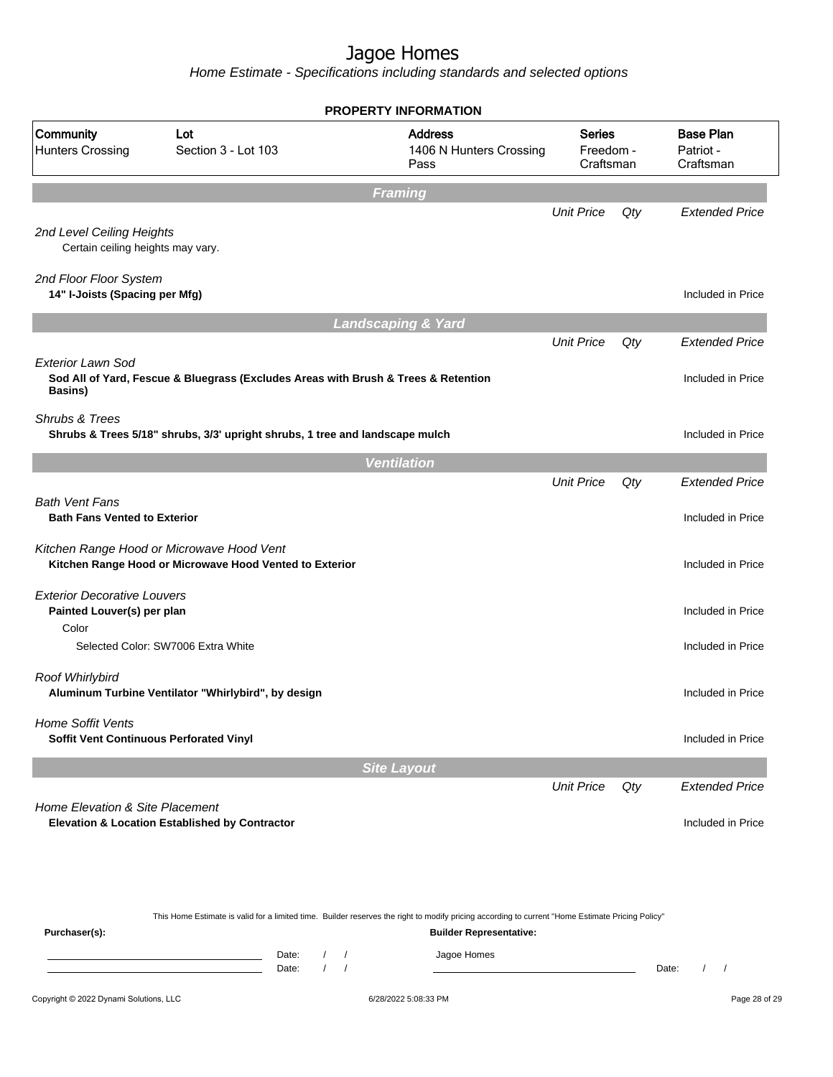|                                                                  |                                                                                                      | <b>PROPERTY INFORMATION</b>                       |                                         |     |                                            |
|------------------------------------------------------------------|------------------------------------------------------------------------------------------------------|---------------------------------------------------|-----------------------------------------|-----|--------------------------------------------|
| Community<br><b>Hunters Crossing</b>                             | Lot<br>Section 3 - Lot 103                                                                           | <b>Address</b><br>1406 N Hunters Crossing<br>Pass | <b>Series</b><br>Freedom -<br>Craftsman |     | <b>Base Plan</b><br>Patriot -<br>Craftsman |
|                                                                  |                                                                                                      | <b>Framing</b>                                    |                                         |     |                                            |
|                                                                  |                                                                                                      |                                                   | <b>Unit Price</b>                       | Qty | <b>Extended Price</b>                      |
| 2nd Level Ceiling Heights<br>Certain ceiling heights may vary.   |                                                                                                      |                                                   |                                         |     |                                            |
| 2nd Floor Floor System<br>14" I-Joists (Spacing per Mfg)         |                                                                                                      |                                                   |                                         |     | Included in Price                          |
|                                                                  |                                                                                                      | <b>Landscaping &amp; Yard</b>                     |                                         |     |                                            |
|                                                                  |                                                                                                      |                                                   | <b>Unit Price</b>                       | Qty | <b>Extended Price</b>                      |
| <b>Exterior Lawn Sod</b><br>Basins)                              | Sod All of Yard, Fescue & Bluegrass (Excludes Areas with Brush & Trees & Retention                   |                                                   |                                         |     | Included in Price                          |
| Shrubs & Trees                                                   | Shrubs & Trees 5/18" shrubs, 3/3' upright shrubs, 1 tree and landscape mulch                         |                                                   |                                         |     | Included in Price                          |
|                                                                  |                                                                                                      | <b>Ventilation</b>                                |                                         |     |                                            |
|                                                                  |                                                                                                      |                                                   | <b>Unit Price</b>                       | Qty | <b>Extended Price</b>                      |
| <b>Bath Vent Fans</b><br><b>Bath Fans Vented to Exterior</b>     |                                                                                                      |                                                   |                                         |     | Included in Price                          |
|                                                                  | Kitchen Range Hood or Microwave Hood Vent<br>Kitchen Range Hood or Microwave Hood Vented to Exterior |                                                   |                                         |     | Included in Price                          |
| <b>Exterior Decorative Louvers</b><br>Painted Louver(s) per plan |                                                                                                      |                                                   |                                         |     | Included in Price                          |
| Color                                                            | Selected Color: SW7006 Extra White                                                                   |                                                   |                                         |     | Included in Price                          |
| Roof Whirlybird                                                  | Aluminum Turbine Ventilator "Whirlybird", by design                                                  |                                                   |                                         |     | Included in Price                          |
| Home Soffit Vents<br>Soffit Vent Continuous Perforated Vinyl     |                                                                                                      |                                                   |                                         |     | Included in Price                          |
|                                                                  |                                                                                                      | <b>Site Layout</b>                                |                                         |     |                                            |
|                                                                  |                                                                                                      |                                                   | <b>Unit Price</b>                       | Qty | <b>Extended Price</b>                      |
| Home Elevation & Site Placement                                  | Elevation & Location Established by Contractor                                                       |                                                   |                                         |     | Included in Price                          |

|                                        |                |  | This Home Estimate is valid for a limited time. Builder reserves the right to modify pricing according to current "Home Estimate Pricing Policy" |       |  |               |
|----------------------------------------|----------------|--|--------------------------------------------------------------------------------------------------------------------------------------------------|-------|--|---------------|
| Purchaser(s):                          |                |  | <b>Builder Representative:</b>                                                                                                                   |       |  |               |
|                                        | Date:<br>Date: |  | Jagoe Homes                                                                                                                                      | Date: |  |               |
| Copyright © 2022 Dynami Solutions, LLC |                |  | 6/28/2022 5:08:33 PM                                                                                                                             |       |  | Page 28 of 29 |